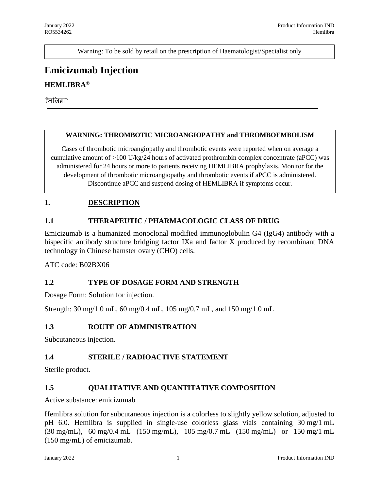Warning: To be sold by retail on the prescription of Haematologist/Specialist only

# **Emicizumab Injection**

## **HEMLIBRA®**

हेमलिबा™

#### **WARNING: THROMBOTIC MICROANGIOPATHY and THROMBOEMBOLISM**

Cases of thrombotic microangiopathy and thrombotic events were reported when on average a cumulative amount of >100 U/kg/24 hours of activated prothrombin complex concentrate (aPCC) was administered for 24 hours or more to patients receiving HEMLIBRA prophylaxis. Monitor for the development of thrombotic microangiopathy and thrombotic events if aPCC is administered. Discontinue aPCC and suspend dosing of HEMLIBRA if symptoms occur.

### **1. DESCRIPTION**

### **1.1 THERAPEUTIC / PHARMACOLOGIC CLASS OF DRUG**

Emicizumab is a humanized monoclonal modified immunoglobulin G4 (IgG4) antibody with a bispecific antibody structure bridging factor IXa and factor X produced by recombinant DNA technology in Chinese hamster ovary (CHO) cells.

ATC code: B02BX06

### **1.2 TYPE OF DOSAGE FORM AND STRENGTH**

Dosage Form: Solution for injection.

Strength: 30 mg/1.0 mL, 60 mg/0.4 mL, 105 mg/0.7 mL, and 150 mg/1.0 mL

### **1.3 ROUTE OF ADMINISTRATION**

Subcutaneous injection.

### **1.4 STERILE / RADIOACTIVE STATEMENT**

Sterile product.

### **1.5 QUALITATIVE AND QUANTITATIVE COMPOSITION**

Active substance: emicizumab

Hemlibra solution for subcutaneous injection is a colorless to slightly yellow solution, adjusted to pH 6.0. Hemlibra is supplied in single-use colorless glass vials containing 30 mg/1 mL (30 mg/mL), 60 mg/0.4 mL (150 mg/mL), 105 mg/0.7 mL (150 mg/mL) or 150 mg/1 mL (150 mg/mL) of emicizumab.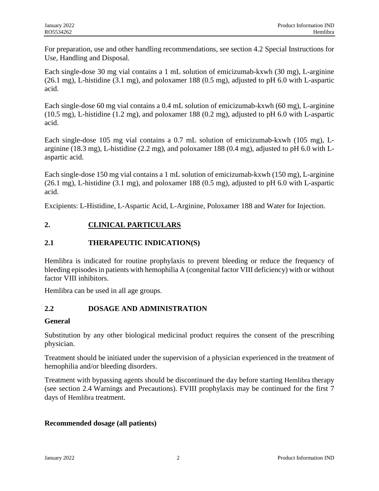For preparation, use and other handling recommendations, see section 4.2 Special Instructions for Use, Handling and Disposal.

Each single-dose 30 mg vial contains a 1 mL solution of emicizumab-kxwh (30 mg), L-arginine  $(26.1 \text{ mg})$ , L-histidine  $(3.1 \text{ mg})$ , and poloxamer 188  $(0.5 \text{ mg})$ , adjusted to pH 6.0 with L-aspartic acid.

Each single-dose 60 mg vial contains a 0.4 mL solution of emicizumab-kxwh (60 mg), L-arginine (10.5 mg), L-histidine (1.2 mg), and poloxamer 188 (0.2 mg), adjusted to pH 6.0 with L-aspartic acid.

Each single-dose 105 mg vial contains a 0.7 mL solution of emicizumab-kxwh (105 mg), Larginine (18.3 mg), L-histidine (2.2 mg), and poloxamer 188 (0.4 mg), adjusted to pH 6.0 with Laspartic acid.

Each single-dose 150 mg vial contains a 1 mL solution of emicizumab-kxwh (150 mg), L-arginine (26.1 mg), L-histidine (3.1 mg), and poloxamer 188 (0.5 mg), adjusted to pH 6.0 with L-aspartic acid.

Excipients: L-Histidine, L-Aspartic Acid, L-Arginine, Poloxamer 188 and Water for Injection.

## **2. CLINICAL PARTICULARS**

## **2.1 THERAPEUTIC INDICATION(S)**

Hemlibra is indicated for routine prophylaxis to prevent bleeding or reduce the frequency of bleeding episodes in patients with hemophilia A (congenital factor VIII deficiency) with or without factor VIII inhibitors.

Hemlibra can be used in all age groups.

## **2.2 DOSAGE AND ADMINISTRATION**

### **General**

Substitution by any other biological medicinal product requires the consent of the prescribing physician.

Treatment should be initiated under the supervision of a physician experienced in the treatment of hemophilia and/or bleeding disorders.

Treatment with bypassing agents should be discontinued the day before starting Hemlibra therapy (see section 2.4 Warnings and Precautions). FVIII prophylaxis may be continued for the first 7 days of Hemlibra treatment.

### **Recommended dosage (all patients)**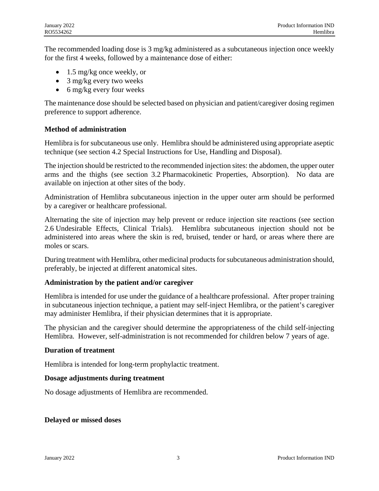The recommended loading dose is 3 mg/kg administered as a subcutaneous injection once weekly for the first 4 weeks, followed by a maintenance dose of either:

- $\bullet$  1.5 mg/kg once weekly, or
- 3 mg/kg every two weeks
- $\bullet$  6 mg/kg every four weeks

The maintenance dose should be selected based on physician and patient/caregiver dosing regimen preference to support adherence.

### **Method of administration**

Hemlibra is for subcutaneous use only. Hemlibra should be administered using appropriate aseptic technique (see section 4.2 Special Instructions for Use, Handling and Disposal).

The injection should be restricted to the recommended injection sites: the abdomen, the upper outer arms and the thighs (see section 3.2 Pharmacokinetic Properties, Absorption). No data are available on injection at other sites of the body.

Administration of Hemlibra subcutaneous injection in the upper outer arm should be performed by a caregiver or healthcare professional.

Alternating the site of injection may help prevent or reduce injection site reactions (see section 2.6 Undesirable Effects, Clinical Trials). Hemlibra subcutaneous injection should not be administered into areas where the skin is red, bruised, tender or hard, or areas where there are moles or scars.

During treatment with Hemlibra, other medicinal products for subcutaneous administration should, preferably, be injected at different anatomical sites.

### **Administration by the patient and/or caregiver**

Hemlibra is intended for use under the guidance of a healthcare professional. After proper training in subcutaneous injection technique, a patient may self-inject Hemlibra, or the patient's caregiver may administer Hemlibra, if their physician determines that it is appropriate.

The physician and the caregiver should determine the appropriateness of the child self-injecting Hemlibra. However, self-administration is not recommended for children below 7 years of age.

#### **Duration of treatment**

Hemlibra is intended for long-term prophylactic treatment.

### **Dosage adjustments during treatment**

No dosage adjustments of Hemlibra are recommended.

### **Delayed or missed doses**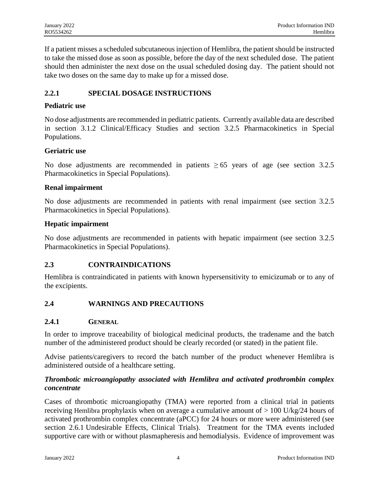If a patient misses a scheduled subcutaneous injection of Hemlibra, the patient should be instructed to take the missed dose as soon as possible, before the day of the next scheduled dose. The patient should then administer the next dose on the usual scheduled dosing day. The patient should not take two doses on the same day to make up for a missed dose.

## **2.2.1 SPECIAL DOSAGE INSTRUCTIONS**

## **Pediatric use**

No dose adjustments are recommended in pediatric patients. Currently available data are described in section 3.1.2 Clinical/Efficacy Studies and section 3.2.5 Pharmacokinetics in Special Populations.

### **Geriatric use**

No dose adjustments are recommended in patients  $\geq 65$  years of age (see section 3.2.5) Pharmacokinetics in Special Populations).

## **Renal impairment**

No dose adjustments are recommended in patients with renal impairment (see section 3.2.5 Pharmacokinetics in Special Populations).

## **Hepatic impairment**

No dose adjustments are recommended in patients with hepatic impairment (see section 3.2.5 Pharmacokinetics in Special Populations).

## **2.3 CONTRAINDICATIONS**

Hemlibra is contraindicated in patients with known hypersensitivity to emicizumab or to any of the excipients.

## **2.4 WARNINGS AND PRECAUTIONS**

### **2.4.1 GENERAL**

In order to improve traceability of biological medicinal products, the tradename and the batch number of the administered product should be clearly recorded (or stated) in the patient file.

Advise patients/caregivers to record the batch number of the product whenever Hemlibra is administered outside of a healthcare setting.

## *Thrombotic microangiopathy associated with Hemlibra and activated prothrombin complex concentrate*

Cases of thrombotic microangiopathy (TMA) were reported from a clinical trial in patients receiving Hemlibra prophylaxis when on average a cumulative amount of  $> 100$  U/kg/24 hours of activated prothrombin complex concentrate (aPCC) for 24 hours or more were administered (see section 2.6.1 Undesirable Effects, Clinical Trials). Treatment for the TMA events included supportive care with or without plasmapheresis and hemodialysis. Evidence of improvement was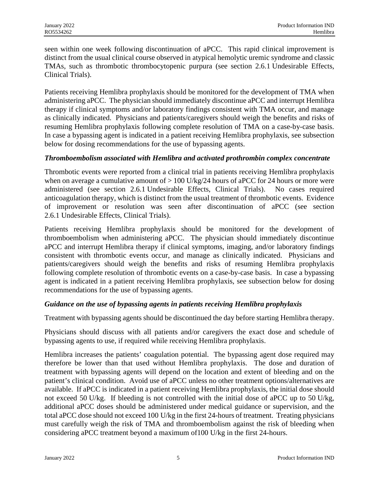seen within one week following discontinuation of aPCC. This rapid clinical improvement is distinct from the usual clinical course observed in atypical hemolytic uremic syndrome and classic TMAs, such as thrombotic thrombocytopenic purpura (see section 2.6.1 Undesirable Effects, Clinical Trials).

Patients receiving Hemlibra prophylaxis should be monitored for the development of TMA when administering aPCC. The physician should immediately discontinue aPCC and interrupt Hemlibra therapy if clinical symptoms and/or laboratory findings consistent with TMA occur, and manage as clinically indicated. Physicians and patients/caregivers should weigh the benefits and risks of resuming Hemlibra prophylaxis following complete resolution of TMA on a case-by-case basis. In case a bypassing agent is indicated in a patient receiving Hemlibra prophylaxis, see subsection below for dosing recommendations for the use of bypassing agents.

## *Thromboembolism associated with Hemlibra and activated prothrombin complex concentrate*

Thrombotic events were reported from a clinical trial in patients receiving Hemlibra prophylaxis when on average a cumulative amount of  $> 100$  U/kg/24 hours of aPCC for 24 hours or more were administered (see section 2.6.1 Undesirable Effects, Clinical Trials). No cases required anticoagulation therapy, which is distinct from the usual treatment of thrombotic events. Evidence of improvement or resolution was seen after discontinuation of aPCC (see section 2.6.1 Undesirable Effects, Clinical Trials).

Patients receiving Hemlibra prophylaxis should be monitored for the development of thromboembolism when administering aPCC. The physician should immediately discontinue aPCC and interrupt Hemlibra therapy if clinical symptoms, imaging, and/or laboratory findings consistent with thrombotic events occur, and manage as clinically indicated. Physicians and patients/caregivers should weigh the benefits and risks of resuming Hemlibra prophylaxis following complete resolution of thrombotic events on a case-by-case basis. In case a bypassing agent is indicated in a patient receiving Hemlibra prophylaxis, see subsection below for dosing recommendations for the use of bypassing agents.

## *Guidance on the use of bypassing agents in patients receiving Hemlibra prophylaxis*

Treatment with bypassing agents should be discontinued the day before starting Hemlibra therapy.

Physicians should discuss with all patients and/or caregivers the exact dose and schedule of bypassing agents to use, if required while receiving Hemlibra prophylaxis.

Hemlibra increases the patients' coagulation potential. The bypassing agent dose required may therefore be lower than that used without Hemlibra prophylaxis. The dose and duration of treatment with bypassing agents will depend on the location and extent of bleeding and on the patient's clinical condition. Avoid use of aPCC unless no other treatment options/alternatives are available. If aPCC is indicated in a patient receiving Hemlibra prophylaxis, the initial dose should not exceed 50 U/kg. If bleeding is not controlled with the initial dose of aPCC up to 50 U/kg, additional aPCC doses should be administered under medical guidance or supervision, and the total aPCC dose should not exceed 100 U/kg in the first 24-hours of treatment. Treating physicians must carefully weigh the risk of TMA and thromboembolism against the risk of bleeding when considering aPCC treatment beyond a maximum of100 U/kg in the first 24-hours.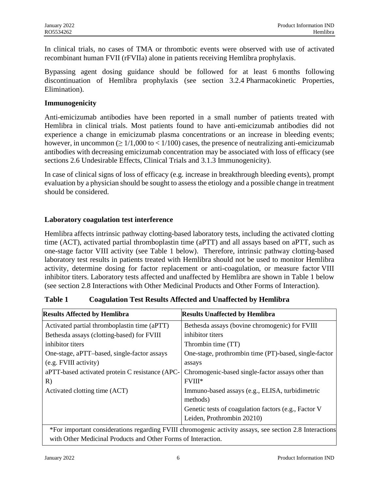In clinical trials, no cases of TMA or thrombotic events were observed with use of activated recombinant human FVII (rFVIIa) alone in patients receiving Hemlibra prophylaxis.

Bypassing agent dosing guidance should be followed for at least 6 months following discontinuation of Hemlibra prophylaxis (see section 3.2.4 Pharmacokinetic Properties, Elimination).

#### **Immunogenicity**

Anti-emicizumab antibodies have been reported in a small number of patients treated with Hemlibra in clinical trials. Most patients found to have anti-emicizumab antibodies did not experience a change in emicizumab plasma concentrations or an increase in bleeding events; however, in uncommon ( $\geq 1/1,000$  to  $\lt 1/100$ ) cases, the presence of neutralizing anti-emicizumab antibodies with decreasing emicizumab concentration may be associated with loss of efficacy (see sections 2.6 Undesirable Effects, Clinical Trials and 3.1.3 Immunogenicity).

In case of clinical signs of loss of efficacy (e.g. increase in breakthrough bleeding events), prompt evaluation by a physician should be sought to assess the etiology and a possible change in treatment should be considered.

## **Laboratory coagulation test interference**

Hemlibra affects intrinsic pathway clotting-based laboratory tests, including the activated clotting time (ACT), activated partial thromboplastin time (aPTT) and all assays based on aPTT, such as one-stage factor VIII activity (see Table 1 below). Therefore, intrinsic pathway clotting-based laboratory test results in patients treated with Hemlibra should not be used to monitor Hemlibra activity, determine dosing for factor replacement or anti-coagulation, or measure factor VIII inhibitor titers. Laboratory tests affected and unaffected by Hemlibra are shown in Table 1 below (see section 2.8 Interactions with Other Medicinal Products and Other Forms of Interaction).

## **Table 1 Coagulation Test Results Affected and Unaffected by Hemlibra**

| <b>Results Affected by Hemlibra</b>             | <b>Results Unaffected by Hemlibra</b>                                                                                |
|-------------------------------------------------|----------------------------------------------------------------------------------------------------------------------|
| Activated partial thromboplastin time (aPTT)    | Bethesda assays (bovine chromogenic) for FVIII                                                                       |
| Bethesda assays (clotting-based) for FVIII      | inhibitor titers                                                                                                     |
| inhibitor titers                                | Thrombin time (TT)                                                                                                   |
| One-stage, aPTT-based, single-factor assays     | One-stage, prothrombin time (PT)-based, single-factor                                                                |
| (e.g. FVIII activity)                           | assays                                                                                                               |
| aPTT-based activated protein C resistance (APC- | Chromogenic-based single-factor assays other than                                                                    |
| R)                                              | $FVIII*$                                                                                                             |
| Activated clotting time (ACT)                   | Immuno-based assays (e.g., ELISA, turbidimetric                                                                      |
|                                                 | methods)                                                                                                             |
|                                                 | Genetic tests of coagulation factors (e.g., Factor V                                                                 |
|                                                 | Leiden, Prothrombin 20210)                                                                                           |
|                                                 | $\ast$ Department and the statement of the DVIII shows and a statement of the control of $\Lambda$ O Large at $\sim$ |

\*For important considerations regarding FVIII chromogenic activity assays, see section 2.8 Interactions with Other Medicinal Products and Other Forms of Interaction.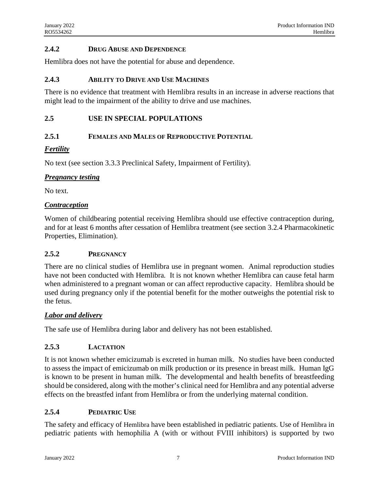### **2.4.2 DRUG ABUSE AND DEPENDENCE**

Hemlibra does not have the potential for abuse and dependence.

#### **2.4.3 ABILITY TO DRIVE AND USE MACHINES**

There is no evidence that treatment with Hemlibra results in an increase in adverse reactions that might lead to the impairment of the ability to drive and use machines.

#### **2.5 USE IN SPECIAL POPULATIONS**

#### **2.5.1 FEMALES AND MALES OF REPRODUCTIVE POTENTIAL**

#### *Fertility*

No text (see section 3.3.3 Preclinical Safety, Impairment of Fertility).

#### *Pregnancy testing*

No text.

#### *Contraception*

Women of childbearing potential receiving Hemlibra should use effective contraception during, and for at least 6 months after cessation of Hemlibra treatment (see section 3.2.4 Pharmacokinetic Properties, Elimination).

### **2.5.2 PREGNANCY**

There are no clinical studies of Hemlibra use in pregnant women. Animal reproduction studies have not been conducted with Hemlibra. It is not known whether Hemlibra can cause fetal harm when administered to a pregnant woman or can affect reproductive capacity. Hemlibra should be used during pregnancy only if the potential benefit for the mother outweighs the potential risk to the fetus.

#### *Labor and delivery*

The safe use of Hemlibra during labor and delivery has not been established.

### **2.5.3 LACTATION**

It is not known whether emicizumab is excreted in human milk. No studies have been conducted to assess the impact of emicizumab on milk production or its presence in breast milk. Human IgG is known to be present in human milk. The developmental and health benefits of breastfeeding should be considered, along with the mother's clinical need for Hemlibra and any potential adverse effects on the breastfed infant from Hemlibra or from the underlying maternal condition.

### **2.5.4 PEDIATRIC USE**

The safety and efficacy of Hemlibra have been established in pediatric patients. Use of Hemlibra in pediatric patients with hemophilia A (with or without FVIII inhibitors) is supported by two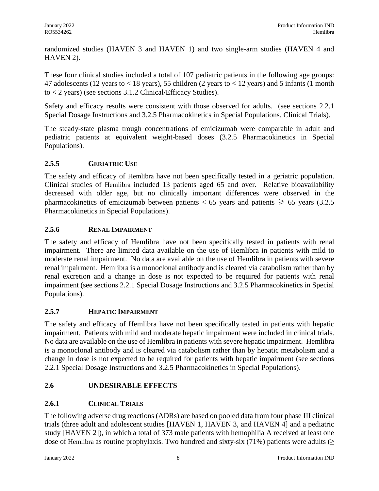randomized studies (HAVEN 3 and HAVEN 1) and two single-arm studies (HAVEN 4 and HAVEN 2).

These four clinical studies included a total of 107 pediatric patients in the following age groups: 47 adolescents (12 years to < 18 years), 55 children (2 years to < 12 years) and 5 infants (1 month to < 2 years) (see sections 3.1.2 Clinical/Efficacy Studies).

Safety and efficacy results were consistent with those observed for adults. (see sections 2.2.1 Special Dosage Instructions and 3.2.5 Pharmacokinetics in Special Populations, Clinical Trials).

The steady-state plasma trough concentrations of emicizumab were comparable in adult and pediatric patients at equivalent weight-based doses (3.2.5 Pharmacokinetics in Special Populations).

## **2.5.5 GERIATRIC USE**

The safety and efficacy of Hemlibra have not been specifically tested in a geriatric population. Clinical studies of Hemlibra included 13 patients aged 65 and over. Relative bioavailability decreased with older age, but no clinically important differences were observed in the pharmacokinetics of emicizumab between patients  $< 65$  years and patients  $\geq 65$  years (3.2.5) Pharmacokinetics in Special Populations).

## **2.5.6 RENAL IMPAIRMENT**

The safety and efficacy of Hemlibra have not been specifically tested in patients with renal impairment. There are limited data available on the use of Hemlibra in patients with mild to moderate renal impairment. No data are available on the use of Hemlibra in patients with severe renal impairment. Hemlibra is a monoclonal antibody and is cleared via catabolism rather than by renal excretion and a change in dose is not expected to be required for patients with renal impairment (see sections 2.2.1 Special Dosage Instructions and 3.2.5 Pharmacokinetics in Special Populations).

## **2.5.7 HEPATIC IMPAIRMENT**

The safety and efficacy of Hemlibra have not been specifically tested in patients with hepatic impairment. Patients with mild and moderate hepatic impairment were included in clinical trials. No data are available on the use of Hemlibra in patients with severe hepatic impairment. Hemlibra is a monoclonal antibody and is cleared via catabolism rather than by hepatic metabolism and a change in dose is not expected to be required for patients with hepatic impairment (see sections 2.2.1 Special Dosage Instructions and 3.2.5 Pharmacokinetics in Special Populations).

## **2.6 UNDESIRABLE EFFECTS**

## **2.6.1 CLINICAL TRIALS**

The following adverse drug reactions (ADRs) are based on pooled data from four phase III clinical trials (three adult and adolescent studies [HAVEN 1, HAVEN 3, and HAVEN 4] and a pediatric study [HAVEN 2]), in which a total of 373 male patients with hemophilia A received at least one dose of Hemlibra as routine prophylaxis. Two hundred and sixty-six (71%) patients were adults ( $\geq$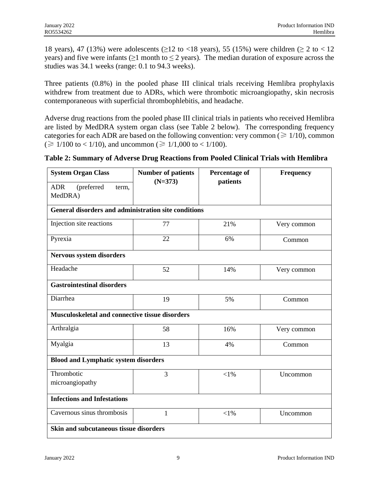18 years), 47 (13%) were adolescents ( $\geq$ 12 to <18 years), 55 (15%) were children ( $\geq$  2 to <12 years) and five were infants ( $\geq 1$  month to  $\leq 2$  years). The median duration of exposure across the studies was 34.1 weeks (range: 0.1 to 94.3 weeks).

Three patients (0.8%) in the pooled phase III clinical trials receiving Hemlibra prophylaxis withdrew from treatment due to ADRs, which were thrombotic microangiopathy, skin necrosis contemporaneous with superficial thrombophlebitis, and headache.

Adverse drug reactions from the pooled phase III clinical trials in patients who received Hemlibra are listed by MedDRA system organ class (see Table 2 below). The corresponding frequency categories for each ADR are based on the following convention: very common ( $\geq 1/10$ ), common (≥ 1/100 to < 1/10), and uncommon (≥ 1/1,000 to < 1/100).

**Table 2: Summary of Adverse Drug Reactions from Pooled Clinical Trials with Hemlibra**

| <b>System Organ Class</b>                            | <b>Number of patients</b><br>$(N=373)$ | <b>Percentage of</b><br>patients | <b>Frequency</b> |  |  |
|------------------------------------------------------|----------------------------------------|----------------------------------|------------------|--|--|
| (preferred<br><b>ADR</b><br>term,<br>MedDRA)         |                                        |                                  |                  |  |  |
| General disorders and administration site conditions |                                        |                                  |                  |  |  |
| Injection site reactions                             | 77                                     | 21%                              | Very common      |  |  |
| Pyrexia                                              | 22                                     | 6%                               | Common           |  |  |
| <b>Nervous system disorders</b>                      |                                        |                                  |                  |  |  |
| Headache                                             | 52                                     | 14%                              | Very common      |  |  |
| <b>Gastrointestinal disorders</b>                    |                                        |                                  |                  |  |  |
| Diarrhea                                             | 19                                     | 5%                               | Common           |  |  |
| Musculoskeletal and connective tissue disorders      |                                        |                                  |                  |  |  |
| Arthralgia                                           | 58                                     | 16%                              | Very common      |  |  |
| Myalgia                                              | 13                                     | 4%                               | Common           |  |  |
| <b>Blood and Lymphatic system disorders</b>          |                                        |                                  |                  |  |  |
| Thrombotic                                           | 3                                      | $<$ 1%                           | Uncommon         |  |  |
| microangiopathy                                      |                                        |                                  |                  |  |  |
| <b>Infections and Infestations</b>                   |                                        |                                  |                  |  |  |
| Cavernous sinus thrombosis                           | $\mathbf{1}$                           | $<$ 1%                           | Uncommon         |  |  |
| Skin and subcutaneous tissue disorders               |                                        |                                  |                  |  |  |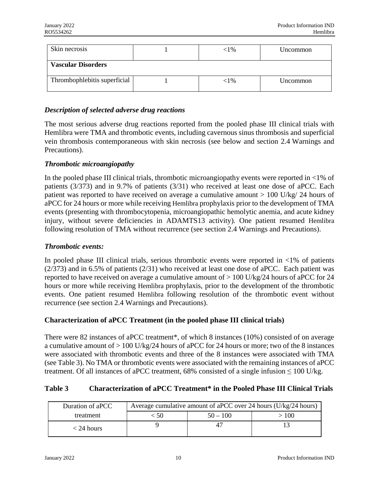| Skin necrosis                | $<$ 1%   | Uncommon |
|------------------------------|----------|----------|
| <b>Vascular Disorders</b>    |          |          |
| Thrombophlebitis superficial | ${<}1\%$ | Uncommon |

## *Description of selected adverse drug reactions*

The most serious adverse drug reactions reported from the pooled phase III clinical trials with Hemlibra were TMA and thrombotic events, including cavernous sinus thrombosis and superficial vein thrombosis contemporaneous with skin necrosis (see below and section 2.4 Warnings and Precautions).

### *Thrombotic microangiopathy*

In the pooled phase III clinical trials, thrombotic microangiopathy events were reported in  $\langle 1\% \rangle$  of patients (3/373) and in 9.7% of patients (3/31) who received at least one dose of aPCC. Each patient was reported to have received on average a cumulative amount > 100 U/kg/ 24 hours of aPCC for 24 hours or more while receiving Hemlibra prophylaxis prior to the development of TMA events (presenting with thrombocytopenia, microangiopathic hemolytic anemia, and acute kidney injury, without severe deficiencies in ADAMTS13 activity). One patient resumed Hemlibra following resolution of TMA without recurrence (see section 2.4 Warnings and Precautions).

#### *Thrombotic events:*

In pooled phase III clinical trials, serious thrombotic events were reported in  $\langle 1\% \rangle$  of patients (2/373) and in 6.5% of patients (2/31) who received at least one dose of aPCC. Each patient was reported to have received on average a cumulative amount of  $> 100$  U/kg/24 hours of aPCC for 24 hours or more while receiving Hemlibra prophylaxis, prior to the development of the thrombotic events. One patient resumed Hemlibra following resolution of the thrombotic event without recurrence (see section 2.4 Warnings and Precautions).

### **Characterization of aPCC Treatment (in the pooled phase III clinical trials)**

There were 82 instances of aPCC treatment\*, of which 8 instances (10%) consisted of on average a cumulative amount of  $> 100$  U/kg/24 hours of aPCC for 24 hours or more; two of the 8 instances were associated with thrombotic events and three of the 8 instances were associated with TMA (see Table 3). No TMA or thrombotic events were associated with the remaining instances of aPCC treatment. Of all instances of aPCC treatment, 68% consisted of a single infusion  $\leq 100$  U/kg.

## **Table 3 Characterization of aPCC Treatment\* in the Pooled Phase III Clinical Trials**

| Duration of aPCC | Average cumulative amount of aPCC over 24 hours (U/kg/24 hours) |            |      |  |
|------------------|-----------------------------------------------------------------|------------|------|--|
| treatment        | -50                                                             | $50 - 100$ | >100 |  |
| $<$ 24 hours     |                                                                 |            |      |  |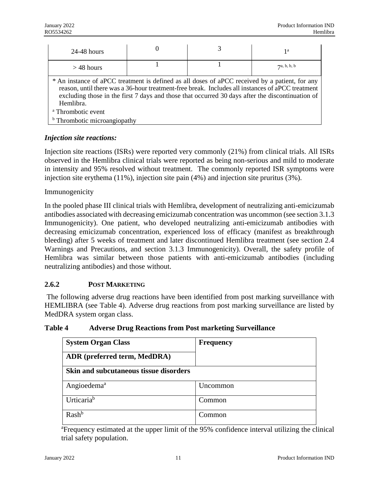| $24-48$ hours                                                                                                                                                                                                                                                                                                        | U |  | 1a          |  |  |
|----------------------------------------------------------------------------------------------------------------------------------------------------------------------------------------------------------------------------------------------------------------------------------------------------------------------|---|--|-------------|--|--|
| $>$ 48 hours                                                                                                                                                                                                                                                                                                         |   |  | 7a, b, b, b |  |  |
| * An instance of aPCC treatment is defined as all doses of aPCC received by a patient, for any<br>reason, until there was a 36-hour treatment-free break. Includes all instances of a PCC treatment<br>excluding those in the first 7 days and those that occurred 30 days after the discontinuation of<br>Hemlibra. |   |  |             |  |  |
| <sup>a</sup> Thrombotic event                                                                                                                                                                                                                                                                                        |   |  |             |  |  |
| <sup>b</sup> Thrombotic microangiopathy                                                                                                                                                                                                                                                                              |   |  |             |  |  |

## *Injection site reactions:*

Injection site reactions (ISRs) were reported very commonly (21%) from clinical trials. All ISRs observed in the Hemlibra clinical trials were reported as being non-serious and mild to moderate in intensity and 95% resolved without treatment. The commonly reported ISR symptoms were injection site erythema (11%), injection site pain (4%) and injection site pruritus (3%).

### Immunogenicity

In the pooled phase III clinical trials with Hemlibra, development of neutralizing anti-emicizumab antibodies associated with decreasing emicizumab concentration was uncommon (see section 3.1.3 Immunogenicity). One patient, who developed neutralizing anti-emicizumab antibodies with decreasing emicizumab concentration, experienced loss of efficacy (manifest as breakthrough bleeding) after 5 weeks of treatment and later discontinued Hemlibra treatment (see section 2.4 Warnings and Precautions, and section 3.1.3 Immunogenicity). Overall, the safety profile of Hemlibra was similar between those patients with anti-emicizumab antibodies (including neutralizing antibodies) and those without.

### **2.6.2 POST MARKETING**

The following adverse drug reactions have been identified from post marking surveillance with HEMLIBRA (see Table 4). Adverse drug reactions from post marking surveillance are listed by MedDRA system organ class.

| Table 4 | <b>Adverse Drug Reactions from Post marketing Surveillance</b> |
|---------|----------------------------------------------------------------|
|---------|----------------------------------------------------------------|

| <b>System Organ Class</b><br>ADR (preferred term, MedDRA) | <b>Frequency</b> |
|-----------------------------------------------------------|------------------|
| <b>Skin and subcutaneous tissue disorders</b>             |                  |
| Angioedema <sup>a</sup>                                   | Uncommon         |
| Urticaria <sup>b</sup>                                    | Common           |
| Rash <sup>b</sup>                                         | Common           |

<sup>a</sup> Frequency estimated at the upper limit of the 95% confidence interval utilizing the clinical trial safety population.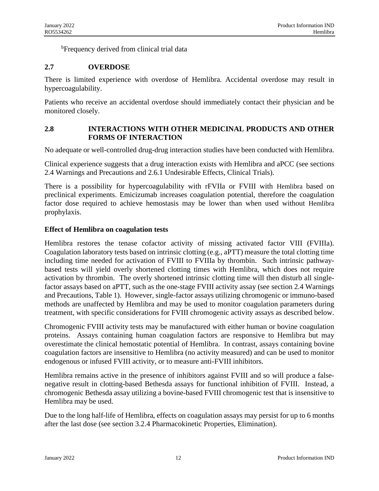<sup>b</sup>Frequency derived from clinical trial data

## **2.7 OVERDOSE**

There is limited experience with overdose of Hemlibra. Accidental overdose may result in hypercoagulability.

Patients who receive an accidental overdose should immediately contact their physician and be monitored closely.

## **2.8 INTERACTIONS WITH OTHER MEDICINAL PRODUCTS AND OTHER FORMS OF INTERACTION**

No adequate or well-controlled drug-drug interaction studies have been conducted with Hemlibra.

Clinical experience suggests that a drug interaction exists with Hemlibra and aPCC (see sections 2.4 Warnings and Precautions and 2.6.1 Undesirable Effects, Clinical Trials).

There is a possibility for hypercoagulability with rFVIIa or FVIII with Hemlibra based on preclinical experiments. Emicizumab increases coagulation potential, therefore the coagulation factor dose required to achieve hemostasis may be lower than when used without Hemlibra prophylaxis.

### **Effect of Hemlibra on coagulation tests**

Hemlibra restores the tenase cofactor activity of missing activated factor VIII (FVIIIa). Coagulation laboratory tests based on intrinsic clotting (e.g., aPTT) measure the total clotting time including time needed for activation of FVIII to FVIIIa by thrombin. Such intrinsic pathwaybased tests will yield overly shortened clotting times with Hemlibra, which does not require activation by thrombin. The overly shortened intrinsic clotting time will then disturb all singlefactor assays based on aPTT, such as the one-stage FVIII activity assay (see section 2.4 Warnings and Precautions, Table 1). However, single-factor assays utilizing chromogenic or immuno-based methods are unaffected by Hemlibra and may be used to monitor coagulation parameters during treatment, with specific considerations for FVIII chromogenic activity assays as described below.

Chromogenic FVIII activity tests may be manufactured with either human or bovine coagulation proteins. Assays containing human coagulation factors are responsive to Hemlibra but may overestimate the clinical hemostatic potential of Hemlibra. In contrast, assays containing bovine coagulation factors are insensitive to Hemlibra (no activity measured) and can be used to monitor endogenous or infused FVIII activity, or to measure anti-FVIII inhibitors.

Hemlibra remains active in the presence of inhibitors against FVIII and so will produce a falsenegative result in clotting-based Bethesda assays for functional inhibition of FVIII. Instead, a chromogenic Bethesda assay utilizing a bovine-based FVIII chromogenic test that is insensitive to Hemlibra may be used.

Due to the long half-life of Hemlibra, effects on coagulation assays may persist for up to 6 months after the last dose (see section 3.2.4 Pharmacokinetic Properties, Elimination).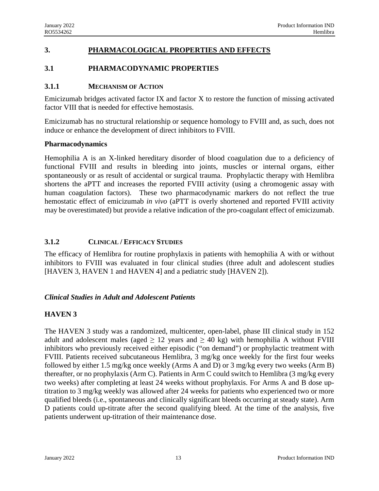## **3. PHARMACOLOGICAL PROPERTIES AND EFFECTS**

## **3.1 PHARMACODYNAMIC PROPERTIES**

### **3.1.1 MECHANISM OF ACTION**

Emicizumab bridges activated factor IX and factor X to restore the function of missing activated factor VIII that is needed for effective hemostasis.

Emicizumab has no structural relationship or sequence homology to FVIII and, as such, does not induce or enhance the development of direct inhibitors to FVIII.

### **Pharmacodynamics**

Hemophilia A is an X-linked hereditary disorder of blood coagulation due to a deficiency of functional FVIII and results in bleeding into joints, muscles or internal organs, either spontaneously or as result of accidental or surgical trauma. Prophylactic therapy with Hemlibra shortens the aPTT and increases the reported FVIII activity (using a chromogenic assay with human coagulation factors). These two pharmacodynamic markers do not reflect the true hemostatic effect of emicizumab *in vivo* (aPTT is overly shortened and reported FVIII activity may be overestimated) but provide a relative indication of the pro-coagulant effect of emicizumab.

## **3.1.2 CLINICAL / EFFICACY STUDIES**

The efficacy of Hemlibra for routine prophylaxis in patients with hemophilia A with or without inhibitors to FVIII was evaluated in four clinical studies (three adult and adolescent studies [HAVEN 3, HAVEN 1 and HAVEN 4] and a pediatric study [HAVEN 2]).

## *Clinical Studies in Adult and Adolescent Patients*

## **HAVEN 3**

The HAVEN 3 study was a randomized, multicenter, open-label, phase III clinical study in 152 adult and adolescent males (aged  $\geq 12$  years and  $\geq 40$  kg) with hemophilia A without FVIII inhibitors who previously received either episodic ("on demand") or prophylactic treatment with FVIII. Patients received subcutaneous Hemlibra, 3 mg/kg once weekly for the first four weeks followed by either 1.5 mg/kg once weekly (Arms A and D) or 3 mg/kg every two weeks (Arm B) thereafter, or no prophylaxis (Arm C). Patients in Arm C could switch to Hemlibra (3 mg/kg every two weeks) after completing at least 24 weeks without prophylaxis. For Arms A and B dose uptitration to 3 mg/kg weekly was allowed after 24 weeks for patients who experienced two or more qualified bleeds (i.e., spontaneous and clinically significant bleeds occurring at steady state). Arm D patients could up-titrate after the second qualifying bleed. At the time of the analysis, five patients underwent up-titration of their maintenance dose.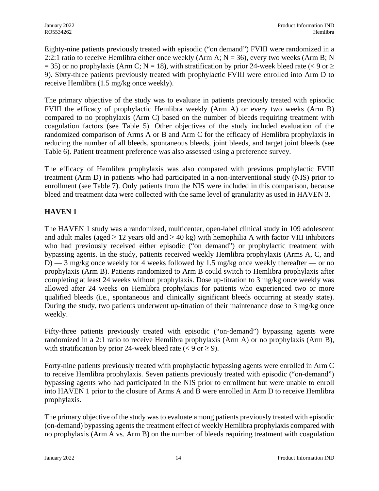Eighty-nine patients previously treated with episodic ("on demand") FVIII were randomized in a 2:2:1 ratio to receive Hemlibra either once weekly (Arm A;  $N = 36$ ), every two weeks (Arm B; N  $= 35$ ) or no prophylaxis (Arm C; N = 18), with stratification by prior 24-week bleed rate (< 9 or  $\ge$ 9). Sixty-three patients previously treated with prophylactic FVIII were enrolled into Arm D to receive Hemlibra (1.5 mg/kg once weekly).

The primary objective of the study was to evaluate in patients previously treated with episodic FVIII the efficacy of prophylactic Hemlibra weekly (Arm A) or every two weeks (Arm B) compared to no prophylaxis (Arm C) based on the number of bleeds requiring treatment with coagulation factors (see Table 5). Other objectives of the study included evaluation of the randomized comparison of Arms A or B and Arm C for the efficacy of Hemlibra prophylaxis in reducing the number of all bleeds, spontaneous bleeds, joint bleeds, and target joint bleeds (see Table 6). Patient treatment preference was also assessed using a preference survey.

The efficacy of Hemlibra prophylaxis was also compared with previous prophylactic FVIII treatment (Arm D) in patients who had participated in a non-interventional study (NIS) prior to enrollment (see Table 7). Only patients from the NIS were included in this comparison, because bleed and treatment data were collected with the same level of granularity as used in HAVEN 3.

## **HAVEN 1**

The HAVEN 1 study was a randomized, multicenter, open-label clinical study in 109 adolescent and adult males (aged  $\geq 12$  years old and  $\geq 40$  kg) with hemophilia A with factor VIII inhibitors who had previously received either episodic ("on demand") or prophylactic treatment with bypassing agents. In the study, patients received weekly Hemlibra prophylaxis (Arms A, C, and D) — 3 mg/kg once weekly for 4 weeks followed by 1.5 mg/kg once weekly thereafter — or no prophylaxis (Arm B). Patients randomized to Arm B could switch to Hemlibra prophylaxis after completing at least 24 weeks without prophylaxis. Dose up-titration to 3 mg/kg once weekly was allowed after 24 weeks on Hemlibra prophylaxis for patients who experienced two or more qualified bleeds (i.e., spontaneous and clinically significant bleeds occurring at steady state). During the study, two patients underwent up-titration of their maintenance dose to 3 mg/kg once weekly.

Fifty-three patients previously treated with episodic ("on-demand") bypassing agents were randomized in a 2:1 ratio to receive Hemlibra prophylaxis (Arm A) or no prophylaxis (Arm B), with stratification by prior 24-week bleed rate ( $\lt 9$  or  $\geq 9$ ).

Forty-nine patients previously treated with prophylactic bypassing agents were enrolled in Arm C to receive Hemlibra prophylaxis. Seven patients previously treated with episodic ("on-demand") bypassing agents who had participated in the NIS prior to enrollment but were unable to enroll into HAVEN 1 prior to the closure of Arms A and B were enrolled in Arm D to receive Hemlibra prophylaxis.

The primary objective of the study was to evaluate among patients previously treated with episodic (on-demand) bypassing agents the treatment effect of weekly Hemlibra prophylaxis compared with no prophylaxis (Arm A vs. Arm B) on the number of bleeds requiring treatment with coagulation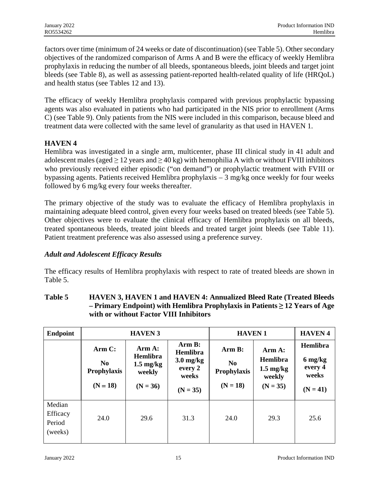factors over time (minimum of 24 weeks or date of discontinuation) (see Table 5). Other secondary objectives of the randomized comparison of Arms A and B were the efficacy of weekly Hemlibra prophylaxis in reducing the number of all bleeds, spontaneous bleeds, joint bleeds and target joint bleeds (see Table 8), as well as assessing patient-reported health-related quality of life (HRQoL) and health status (see Tables 12 and 13).

The efficacy of weekly Hemlibra prophylaxis compared with previous prophylactic bypassing agents was also evaluated in patients who had participated in the NIS prior to enrollment (Arms C) (see Table 9). Only patients from the NIS were included in this comparison, because bleed and treatment data were collected with the same level of granularity as that used in HAVEN 1.

## **HAVEN 4**

Hemlibra was investigated in a single arm, multicenter, phase III clinical study in 41 adult and adolescent males (aged  $\geq 12$  years and  $\geq 40$  kg) with hemophilia A with or without FVIII inhibitors who previously received either episodic ("on demand") or prophylactic treatment with FVIII or bypassing agents. Patients received Hemlibra prophylaxis – 3 mg/kg once weekly for four weeks followed by 6 mg/kg every four weeks thereafter.

The primary objective of the study was to evaluate the efficacy of Hemlibra prophylaxis in maintaining adequate bleed control, given every four weeks based on treated bleeds (see Table 5). Other objectives were to evaluate the clinical efficacy of Hemlibra prophylaxis on all bleeds, treated spontaneous bleeds, treated joint bleeds and treated target joint bleeds (see Table 11). Patient treatment preference was also assessed using a preference survey.

## *Adult and Adolescent Efficacy Results*

The efficacy results of Hemlibra prophylaxis with respect to rate of treated bleeds are shown in Table 5.

## **Table 5 HAVEN 3, HAVEN 1 and HAVEN 4: Annualized Bleed Rate (Treated Bleeds – Primary Endpoint) with Hemlibra Prophylaxis in Patients ≥ 12 Years of Age with or without Factor VIII Inhibitors**

| <b>Endpoint</b>                         | <b>HAVEN 3</b>                                        |                                                                          |                                                                            | <b>HAVEN1</b>                                                |                                                                   | <b>HAVEN4</b>                                         |
|-----------------------------------------|-------------------------------------------------------|--------------------------------------------------------------------------|----------------------------------------------------------------------------|--------------------------------------------------------------|-------------------------------------------------------------------|-------------------------------------------------------|
|                                         | Arm C:<br>N <sub>0</sub><br>Prophylaxis<br>$(N = 18)$ | Arm A:<br><b>Hemlibra</b><br>$1.5 \text{ mg/kg}$<br>weekly<br>$(N = 36)$ | Arm B:<br><b>Hemlibra</b><br>$3.0$ mg/kg<br>every 2<br>weeks<br>$(N = 35)$ | Arm B:<br>N <sub>0</sub><br><b>Prophylaxis</b><br>$(N = 18)$ | Arm A:<br>Hemlibra<br>$1.5 \text{ mg/kg}$<br>weekly<br>$(N = 35)$ | Hemlibra<br>6 mg/kg<br>every 4<br>weeks<br>$(N = 41)$ |
| Median<br>Efficacy<br>Period<br>(weeks) | 24.0                                                  | 29.6                                                                     | 31.3                                                                       | 24.0                                                         | 29.3                                                              | 25.6                                                  |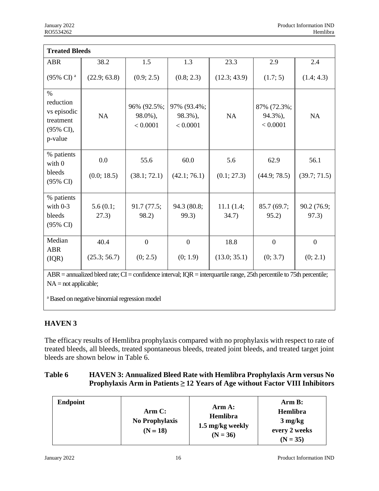| <b>Treated Bleeds</b>                                                                                                   |                   |                                    |                                    |                    |                                    |                      |
|-------------------------------------------------------------------------------------------------------------------------|-------------------|------------------------------------|------------------------------------|--------------------|------------------------------------|----------------------|
| <b>ABR</b>                                                                                                              | 38.2              | 1.5                                | 1.3                                | 23.3               | 2.9                                | 2.4                  |
| (95% CI) <sup>a</sup>                                                                                                   | (22.9; 63.8)      | (0.9; 2.5)                         | (0.8; 2.3)                         | (12.3; 43.9)       | (1.7; 5)                           | (1.4; 4.3)           |
| $\%$<br>reduction<br>vs episodic<br>treatment<br>(95% CI),<br>p-value                                                   | NA                | 96% (92.5%;<br>98.0%),<br>< 0.0001 | 97% (93.4%;<br>98.3%),<br>< 0.0001 | NA                 | 87% (72.3%;<br>94.3%),<br>< 0.0001 | NA                   |
| % patients<br>with 0                                                                                                    | 0.0               | 55.6                               | 60.0                               | 5.6                | 62.9                               | 56.1                 |
| bleeds<br>(95% CI)                                                                                                      | (0.0; 18.5)       | (38.1; 72.1)                       | (42.1; 76.1)                       | (0.1; 27.3)        | (44.9; 78.5)                       | (39.7; 71.5)         |
| % patients<br>with $0-3$<br>bleeds<br>(95% CI)                                                                          | 5.6(0.1;<br>27.3) | 91.7(77.5;<br>98.2)                | 94.3 (80.8;<br>99.3)               | 11.1(1.4;<br>34.7) | 85.7 (69.7;<br>95.2)               | 90.2 (76.9;<br>97.3) |
| Median                                                                                                                  | 40.4              | $\boldsymbol{0}$                   | $\overline{0}$                     | 18.8               | $\theta$                           | $\mathbf{0}$         |
| <b>ABR</b><br>(IQR)                                                                                                     | (25.3; 56.7)      | (0; 2.5)                           | (0; 1.9)                           | (13.0; 35.1)       | (0; 3.7)                           | (0; 2.1)             |
| $ABR =$ annualized bleed rate; CI = confidence interval; IQR = interquartile range, 25th percentile to 75th percentile; |                   |                                    |                                    |                    |                                    |                      |

 $NA = not applicable;$ 

<sup>a</sup> Based on negative binomial regression model

## **HAVEN 3**

The efficacy results of Hemlibra prophylaxis compared with no prophylaxis with respect to rate of treated bleeds, all bleeds, treated spontaneous bleeds, treated joint bleeds, and treated target joint bleeds are shown below in Table 6.

## **Table 6 HAVEN 3: Annualized Bleed Rate with Hemlibra Prophylaxis Arm versus No Prophylaxis Arm in Patients ≥ 12 Years of Age without Factor VIII Inhibitors**

| <b>Endpoint</b> | Arm C:<br><b>No Prophylaxis</b><br>$(N = 18)$ | Arm A:<br><b>Hemlibra</b><br>1.5 mg/kg weekly<br>$(N = 36)$ | Arm B:<br>Hemlibra<br>$3 \text{ mg/kg}$<br>every 2 weeks<br>$(N = 35)$ |
|-----------------|-----------------------------------------------|-------------------------------------------------------------|------------------------------------------------------------------------|
|-----------------|-----------------------------------------------|-------------------------------------------------------------|------------------------------------------------------------------------|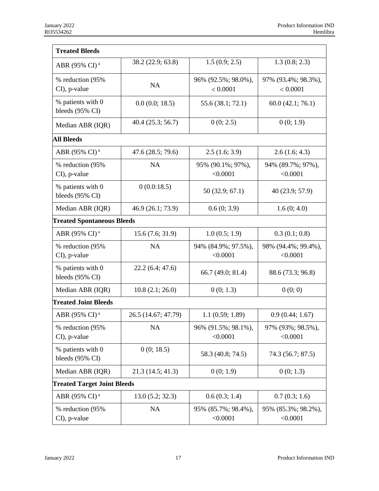| <b>Treated Bleeds</b>                |                     |                                 |                                 |
|--------------------------------------|---------------------|---------------------------------|---------------------------------|
|                                      | 38.2 (22.9; 63.8)   | 1.5(0.9; 2.5)                   | 1.3(0.8; 2.3)                   |
| ABR (95% CI) <sup>a</sup>            |                     |                                 |                                 |
| % reduction (95%                     | <b>NA</b>           | 96% (92.5%; 98.0%),             | 97% (93.4%; 98.3%),             |
| CI), p-value                         |                     | < 0.0001                        | < 0.0001                        |
| % patients with 0<br>bleeds (95% CI) | 0.0(0.0; 18.5)      | 55.6 (38.1; 72.1)               | 60.0(42.1; 76.1)                |
| Median ABR (IQR)                     | 40.4(25.3; 56.7)    | 0(0; 2.5)                       | 0(0; 1.9)                       |
| <b>All Bleeds</b>                    |                     |                                 |                                 |
| ABR (95% CI) <sup>a</sup>            | 47.6 (28.5; 79.6)   | 2.5(1.6; 3.9)                   | 2.6(1.6; 4.3)                   |
| % reduction (95%                     | <b>NA</b>           | 95% (90.1%; 97%),               | 94% (89.7%; 97%),               |
| CI), p-value                         |                     | < 0.0001                        | < 0.0001                        |
| % patients with 0<br>bleeds (95% CI) | 0(0.0:18.5)         | 50(32.9; 67.1)                  | 40 (23.9; 57.9)                 |
| Median ABR (IQR)                     | 46.9 (26.1; 73.9)   | 0.6(0; 3.9)                     | 1.6(0; 4.0)                     |
| <b>Treated Spontaneous Bleeds</b>    |                     |                                 |                                 |
| ABR (95% CI) <sup>a</sup>            | 15.6(7.6; 31.9)     | 1.0(0.5; 1.9)                   | 0.3(0.1; 0.8)                   |
| % reduction (95%                     | <b>NA</b>           | 94% (84.9%; 97.5%),             | 98% (94.4%; 99.4%),             |
| CI), p-value                         |                     | < 0.0001                        | < 0.0001                        |
| % patients with 0<br>bleeds (95% CI) | 22.2(6.4; 47.6)     | 66.7 (49.0; 81.4)               | 88.6 (73.3; 96.8)               |
| Median ABR (IQR)                     | 10.8(2.1; 26.0)     | 0(0; 1.3)                       | 0(0; 0)                         |
| <b>Treated Joint Bleeds</b>          |                     |                                 |                                 |
| ABR (95% CI) <sup>a</sup>            | 26.5 (14.67; 47.79) | 1.1(0.59; 1.89)                 | 0.9(0.44; 1.67)                 |
| % reduction (95%<br>CI), p-value     | NA                  | 96% (91.5%; 98.1%),<br>< 0.0001 | 97% (93%; 98.5%),<br>< 0.0001   |
| % patients with 0<br>bleeds (95% CI) | 0(0; 18.5)          | 58.3 (40.8; 74.5)               | 74.3 (56.7; 87.5)               |
| Median ABR (IQR)                     | 21.3(14.5; 41.3)    | 0(0; 1.9)                       | 0(0; 1.3)                       |
| <b>Treated Target Joint Bleeds</b>   |                     |                                 |                                 |
| ABR (95% CI) <sup>a</sup>            | 13.0(5.2; 32.3)     | 0.6(0.3; 1.4)                   | 0.7(0.3; 1.6)                   |
| % reduction (95%)<br>CI), p-value    | NA                  | 95% (85.7%; 98.4%),<br>< 0.0001 | 95% (85.3%; 98.2%),<br>< 0.0001 |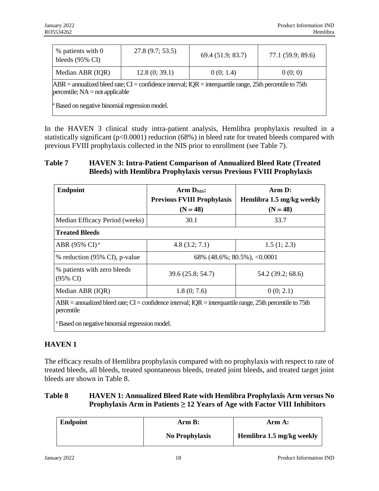| % patients with 0<br>bleeds $(95\% \text{ CI})$                                                                                                  | 27.8(9.7; 53.5) | 69.4 (51.9; 83.7) | 77.1 (59.9; 89.6) |  |  |
|--------------------------------------------------------------------------------------------------------------------------------------------------|-----------------|-------------------|-------------------|--|--|
| Median ABR (IQR)                                                                                                                                 | 12.8(0; 39.1)   | 0(0; 1.4)         | 0(0; 0)           |  |  |
| $ABR$ = annualized bleed rate; CI = confidence interval; IQR = interquartile range, 25th percentile to 75th<br>percentile; $NA = not$ applicable |                 |                   |                   |  |  |
| <sup>a</sup> Based on negative binomial regression model.                                                                                        |                 |                   |                   |  |  |

In the HAVEN 3 clinical study intra-patient analysis, Hemlibra prophylaxis resulted in a statistically significant (p<0.0001) reduction (68%) in bleed rate for treated bleeds compared with previous FVIII prophylaxis collected in the NIS prior to enrollment (see Table 7).

### **Table 7 HAVEN 3: Intra-Patient Comparison of Annualized Bleed Rate (Treated Bleeds) with Hemlibra Prophylaxis versus Previous FVIII Prophylaxis**

| <b>Endpoint</b>                                                                                                           | Arm $DNIS$ :<br><b>Previous FVIII Prophylaxis</b><br>$(N = 48)$ | Arm D:<br>Hemlibra 1.5 mg/kg weekly<br>$(N = 48)$ |  |  |
|---------------------------------------------------------------------------------------------------------------------------|-----------------------------------------------------------------|---------------------------------------------------|--|--|
| Median Efficacy Period (weeks)                                                                                            | 30.1                                                            | 33.7                                              |  |  |
| <b>Treated Bleeds</b>                                                                                                     |                                                                 |                                                   |  |  |
| ABR (95% CI) <sup>a</sup>                                                                                                 | 4.8(3.2; 7.1)                                                   | 1.5(1; 2.3)                                       |  |  |
| % reduction (95% CI), p-value                                                                                             | 68% $(48.6\%; 80.5\%),$ <0.0001                                 |                                                   |  |  |
| % patients with zero bleeds<br>(95% CI)                                                                                   | 39.6 (25.8; 54.7)                                               | 54.2 (39.2; 68.6)                                 |  |  |
| Median ABR (IQR)                                                                                                          | 1.8(0; 7.6)                                                     | 0(0; 2.1)                                         |  |  |
| $ABR =$ annualized bleed rate; CI = confidence interval; IQR = interquartile range, 25th percentile to 75th<br>percentile |                                                                 |                                                   |  |  |
| <sup>a</sup> Based on negative binomial regression model.                                                                 |                                                                 |                                                   |  |  |

## **HAVEN 1**

The efficacy results of Hemlibra prophylaxis compared with no prophylaxis with respect to rate of treated bleeds, all bleeds, treated spontaneous bleeds, treated joint bleeds, and treated target joint bleeds are shown in Table 8.

## **Table 8 HAVEN 1: Annualized Bleed Rate with Hemlibra Prophylaxis Arm versus No Prophylaxis Arm in Patients ≥ 12 Years of Age with Factor VIII Inhibitors**

| Endpoint | Arm B:         | Arm A:                    |  |
|----------|----------------|---------------------------|--|
|          | No Prophylaxis | Hemlibra 1.5 mg/kg weekly |  |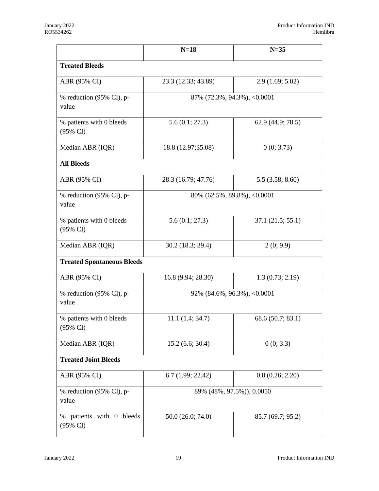|                                      | $N=18$                             | $N=35$            |
|--------------------------------------|------------------------------------|-------------------|
| <b>Treated Bleeds</b>                |                                    |                   |
| ABR (95% CI)                         | 23.3 (12.33; 43.89)                | 2.9(1.69; 5.02)   |
| % reduction (95% CI), p-<br>value    | 87% (72.3%, 94.3%), <0.0001        |                   |
| % patients with 0 bleeds<br>(95% CI) | 5.6(0.1; 27.3)                     | 62.9 (44.9; 78.5) |
| Median ABR (IQR)                     | 18.8 (12.97;35.08)                 | 0(0; 3.73)        |
| <b>All Bleeds</b>                    |                                    |                   |
| ABR (95% CI)                         | 28.3 (16.79; 47.76)                | 5.5(3.58; 8.60)   |
| % reduction (95% CI), p-<br>value    | 80% (62.5%, 89.8%), <0.0001        |                   |
| % patients with 0 bleeds<br>(95% CI) | 5.6(0.1; 27.3)                     | 37.1(21.5; 55.1)  |
| Median ABR (IQR)                     | 30.2 (18.3; 39.4)                  | 2(0; 9.9)         |
| <b>Treated Spontaneous Bleeds</b>    |                                    |                   |
| ABR (95% CI)                         | 16.8 (9.94; 28.30)                 | 1.3(0.73; 2.19)   |
| % reduction (95% CI), p-<br>value    | $92\%$ $(84.6\%, 96.3\%),$ <0.0001 |                   |
| % patients with 0 bleeds<br>(95% CI) | 11.1(1.4; 34.7)                    | 68.6 (50.7; 83.1) |
| Median ABR (IQR)                     | 15.2(6.6; 30.4)                    | 0(0; 3.3)         |
| <b>Treated Joint Bleeds</b>          |                                    |                   |
| ABR (95% CI)                         | 6.7(1.99; 22.42)                   | 0.8(0.26; 2.20)   |
| % reduction (95% CI), p-<br>value    | 89% (48%, 97.5%)), 0.0050          |                   |
| % patients with 0 bleeds<br>(95% CI) | 50.0 (26.0; 74.0)                  | 85.7 (69.7; 95.2) |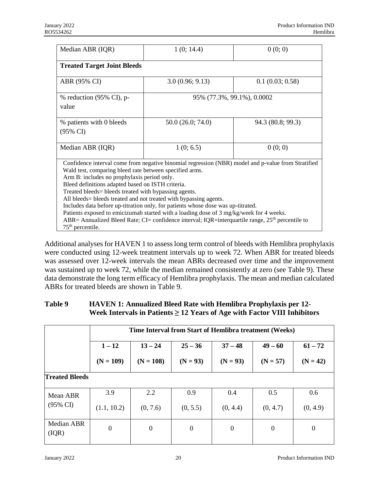| Median ABR (IQR)                                                                                                                                                                                                                                                                                                                                                                                                                                                                                                                                                                                                                                                                                                       | 1(0; 14.4)                 | 0(0; 0)           |  |  |  |  |
|------------------------------------------------------------------------------------------------------------------------------------------------------------------------------------------------------------------------------------------------------------------------------------------------------------------------------------------------------------------------------------------------------------------------------------------------------------------------------------------------------------------------------------------------------------------------------------------------------------------------------------------------------------------------------------------------------------------------|----------------------------|-------------------|--|--|--|--|
| <b>Treated Target Joint Bleeds</b>                                                                                                                                                                                                                                                                                                                                                                                                                                                                                                                                                                                                                                                                                     |                            |                   |  |  |  |  |
| ABR (95% CI)                                                                                                                                                                                                                                                                                                                                                                                                                                                                                                                                                                                                                                                                                                           | 3.0(0.96; 9.13)            | 0.1(0.03; 0.58)   |  |  |  |  |
| % reduction (95% CI), p-<br>value                                                                                                                                                                                                                                                                                                                                                                                                                                                                                                                                                                                                                                                                                      | 95% (77.3%, 99.1%), 0.0002 |                   |  |  |  |  |
| % patients with 0 bleeds<br>$(95\% \text{ CI})$                                                                                                                                                                                                                                                                                                                                                                                                                                                                                                                                                                                                                                                                        | 50.0 (26.0; 74.0)          | 94.3 (80.8; 99.3) |  |  |  |  |
| Median ABR (IQR)                                                                                                                                                                                                                                                                                                                                                                                                                                                                                                                                                                                                                                                                                                       | 1(0; 6.5)                  | 0(0; 0)           |  |  |  |  |
| Confidence interval come from negative binomial regression (NBR) model and p-value from Stratified<br>Wald test, comparing bleed rate between specified arms.<br>Arm B: includes no prophylaxis period only.<br>Bleed definitions adapted based on ISTH criteria.<br>Treated bleeds = bleeds treated with bypassing agents.<br>All bleeds = bleeds treated and not treated with bypassing agents.<br>Includes data before up-titration only, for patients whose dose was up-titrated.<br>Patients exposed to emicizumab started with a loading dose of 3 mg/kg/week for 4 weeks.<br>ABR= Annualized Bleed Rate; CI= confidence interval; IQR=interquartile range, 25 <sup>th</sup> percentile to<br>$75th$ percentile. |                            |                   |  |  |  |  |

Additional analyses for HAVEN 1 to assess long term control of bleeds with Hemlibra prophylaxis were conducted using 12-week treatment intervals up to week 72. When ABR for treated bleeds was assessed over 12-week intervals the mean ABRs decreased over time and the improvement was sustained up to week 72, while the median remained consistently at zero (see Table 9). These data demonstrate the long term efficacy of Hemlibra prophylaxis. The mean and median calculated ABRs for treated bleeds are shown in Table 9.

## **Table 9 HAVEN 1: Annualized Bleed Rate with Hemlibra Prophylaxis per 12- Week Intervals in Patients ≥ 12 Years of Age with Factor VIII Inhibitors**

|                       | Time Interval from Start of Hemlibra treatment (Weeks) |                  |                  |                  |                  |                |
|-----------------------|--------------------------------------------------------|------------------|------------------|------------------|------------------|----------------|
|                       | $1 - 12$                                               | $13 - 24$        | $25 - 36$        | $37 - 48$        | $49 - 60$        | $61 - 72$      |
|                       | $(N = 109)$                                            | $(N = 108)$      | $(N = 93)$       | $(N = 93)$       | $(N = 57)$       | $(N = 42)$     |
| <b>Treated Bleeds</b> |                                                        |                  |                  |                  |                  |                |
| Mean ABR              | 3.9                                                    | 2.2              | 0.9              | 0.4              | 0.5              | 0.6            |
| $(95\% \text{ CI})$   | (1.1, 10.2)                                            | (0, 7.6)         | (0, 5.5)         | (0, 4.4)         | (0, 4.7)         | (0, 4.9)       |
| Median ABR<br>(IQR)   | $\boldsymbol{0}$                                       | $\boldsymbol{0}$ | $\boldsymbol{0}$ | $\boldsymbol{0}$ | $\boldsymbol{0}$ | $\overline{0}$ |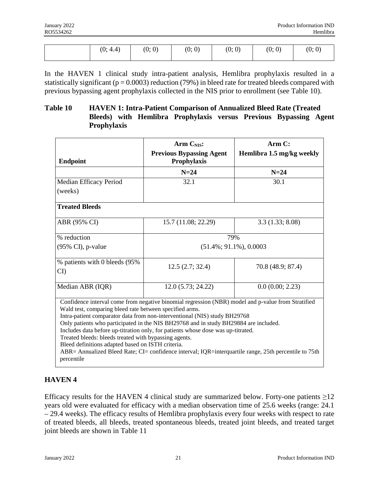| ո∙<br>$\sqrt{ }$ | (0; 0) | (0; 0) | (0; 0) | $\left( 0\right)$<br>(0; | (0; 0) |
|------------------|--------|--------|--------|--------------------------|--------|
|                  |        |        |        |                          |        |

In the HAVEN 1 clinical study intra-patient analysis, Hemlibra prophylaxis resulted in a statistically significant ( $p = 0.0003$ ) reduction (79%) in bleed rate for treated bleeds compared with previous bypassing agent prophylaxis collected in the NIS prior to enrollment (see Table 10).

## **Table 10 HAVEN 1: Intra-Patient Comparison of Annualized Bleed Rate (Treated Bleeds) with Hemlibra Prophylaxis versus Previous Bypassing Agent Prophylaxis**

| <b>Endpoint</b>                                                                                                                                                                                                                                                                                                                                                                                                                                                                                                                                                                                                                                             | <b>Arm CNIS:</b><br><b>Previous Bypassing Agent</b><br>Prophylaxis | Arm C:<br>Hemlibra 1.5 mg/kg weekly |  |  |
|-------------------------------------------------------------------------------------------------------------------------------------------------------------------------------------------------------------------------------------------------------------------------------------------------------------------------------------------------------------------------------------------------------------------------------------------------------------------------------------------------------------------------------------------------------------------------------------------------------------------------------------------------------------|--------------------------------------------------------------------|-------------------------------------|--|--|
|                                                                                                                                                                                                                                                                                                                                                                                                                                                                                                                                                                                                                                                             | $N=24$                                                             | $N=24$                              |  |  |
| Median Efficacy Period<br>(weeks)                                                                                                                                                                                                                                                                                                                                                                                                                                                                                                                                                                                                                           | 32.1                                                               | 30.1                                |  |  |
| <b>Treated Bleeds</b>                                                                                                                                                                                                                                                                                                                                                                                                                                                                                                                                                                                                                                       |                                                                    |                                     |  |  |
| ABR (95% CI)                                                                                                                                                                                                                                                                                                                                                                                                                                                                                                                                                                                                                                                | 15.7 (11.08; 22.29)                                                | 3.3(1.33; 8.08)                     |  |  |
| % reduction                                                                                                                                                                                                                                                                                                                                                                                                                                                                                                                                                                                                                                                 | 79%                                                                |                                     |  |  |
| $(95\% \text{ CI})$ , p-value                                                                                                                                                                                                                                                                                                                                                                                                                                                                                                                                                                                                                               | $(51.4\%; 91.1\%), 0.0003$                                         |                                     |  |  |
| % patients with 0 bleeds (95%)<br>CI                                                                                                                                                                                                                                                                                                                                                                                                                                                                                                                                                                                                                        | 12.5(2.7; 32.4)                                                    | 70.8 (48.9; 87.4)                   |  |  |
| Median ABR (IQR)                                                                                                                                                                                                                                                                                                                                                                                                                                                                                                                                                                                                                                            | 12.0(5.73; 24.22)                                                  | 0.0(0.00; 2.23)                     |  |  |
| Confidence interval come from negative binomial regression (NBR) model and p-value from Stratified<br>Wald test, comparing bleed rate between specified arms.<br>Intra-patient comparator data from non-interventional (NIS) study BH29768<br>Only patients who participated in the NIS BH29768 and in study BH29884 are included.<br>Includes data before up-titration only, for patients whose dose was up-titrated.<br>Treated bleeds: bleeds treated with bypassing agents.<br>Bleed definitions adapted based on ISTH criteria.<br>ABR= Annualized Bleed Rate; CI= confidence interval; IQR=interquartile range, 25th percentile to 75th<br>percentile |                                                                    |                                     |  |  |

## **HAVEN 4**

Efficacy results for the HAVEN 4 clinical study are summarized below. Forty-one patients  $\geq$ 12 years old were evaluated for efficacy with a median observation time of 25.6 weeks (range: 24.1 – 29.4 weeks). The efficacy results of Hemlibra prophylaxis every four weeks with respect to rate of treated bleeds, all bleeds, treated spontaneous bleeds, treated joint bleeds, and treated target joint bleeds are shown in Table 11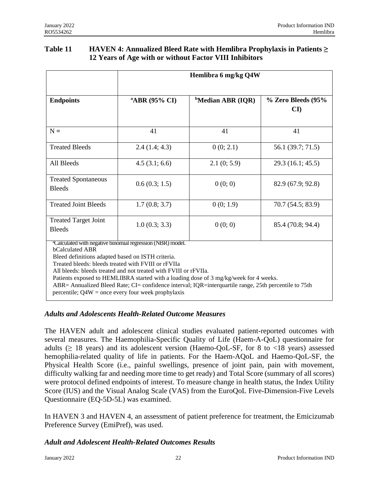| <b>Table 11</b> | <b>HAVEN 4: Annualized Bleed Rate with Hemlibra Prophylaxis in Patients <math>\geq</math></b> |
|-----------------|-----------------------------------------------------------------------------------------------|
|                 | 12 Years of Age with or without Factor VIII Inhibitors                                        |

|                                                                                                                                                                                                                                                                                                                                                                                                                                                                                                                                            | Hemlibra 6 mg/kg Q4W      |                               |                                    |  |  |
|--------------------------------------------------------------------------------------------------------------------------------------------------------------------------------------------------------------------------------------------------------------------------------------------------------------------------------------------------------------------------------------------------------------------------------------------------------------------------------------------------------------------------------------------|---------------------------|-------------------------------|------------------------------------|--|--|
| <b>Endpoints</b>                                                                                                                                                                                                                                                                                                                                                                                                                                                                                                                           | <sup>a</sup> ABR (95% CI) | <sup>b</sup> Median ABR (IQR) | % Zero Bleeds (95%<br>$\mathbf{C}$ |  |  |
| $N =$                                                                                                                                                                                                                                                                                                                                                                                                                                                                                                                                      | 41                        | 41                            | 41                                 |  |  |
| <b>Treated Bleeds</b>                                                                                                                                                                                                                                                                                                                                                                                                                                                                                                                      | 2.4(1.4; 4.3)             | 0(0; 2.1)                     | 56.1 (39.7; 71.5)                  |  |  |
| All Bleeds                                                                                                                                                                                                                                                                                                                                                                                                                                                                                                                                 | 4.5(3.1; 6.6)             | 2.1(0; 5.9)                   | 29.3(16.1; 45.5)                   |  |  |
| <b>Treated Spontaneous</b><br><b>Bleeds</b>                                                                                                                                                                                                                                                                                                                                                                                                                                                                                                | 0.6(0.3; 1.5)             | 0(0; 0)                       | 82.9 (67.9; 92.8)                  |  |  |
| <b>Treated Joint Bleeds</b>                                                                                                                                                                                                                                                                                                                                                                                                                                                                                                                | 1.7(0.8; 3.7)             | 0(0; 1.9)                     | 70.7 (54.5; 83.9)                  |  |  |
| <b>Treated Target Joint</b><br><b>Bleeds</b>                                                                                                                                                                                                                                                                                                                                                                                                                                                                                               | 1.0(0.3; 3.3)             | 0(0; 0)                       | 85.4 (70.8; 94.4)                  |  |  |
| <sup>a</sup> Calculated with negative binomial regression (NBR) model.<br><b>bCalculated ABR</b><br>Bleed definitions adapted based on ISTH criteria.<br>Treated bleeds: bleeds treated with FVIII or rFVIIa<br>All bleeds: bleeds treated and not treated with FVIII or rFVIIa.<br>Patients exposed to HEMLIBRA started with a loading dose of 3 mg/kg/week for 4 weeks.<br>ABR= Annualized Bleed Rate; CI= confidence interval; IQR=interguartile range, 25th percentile to 75th<br>percentile; $Q4W =$ once every four week prophylaxis |                           |                               |                                    |  |  |

### *Adults and Adolescents Health-Related Outcome Measures*

The HAVEN adult and adolescent clinical studies evaluated patient-reported outcomes with several measures. The Haemophilia-Specific Quality of Life (Haem-A-QoL) questionnaire for adults ( $\geq$  18 years) and its adolescent version (Haemo-QoL-SF, for 8 to <18 years) assessed hemophilia-related quality of life in patients. For the Haem-AQoL and Haemo-QoL-SF, the Physical Health Score (i.e., painful swellings, presence of joint pain, pain with movement, difficulty walking far and needing more time to get ready) and Total Score (summary of all scores) were protocol defined endpoints of interest. To measure change in health status, the Index Utility Score (IUS) and the Visual Analog Scale (VAS) from the EuroQoL Five-Dimension-Five Levels Questionnaire (EQ-5D-5L) was examined.

In HAVEN 3 and HAVEN 4, an assessment of patient preference for treatment, the Emicizumab Preference Survey (EmiPref), was used.

### *Adult and Adolescent Health-Related Outcomes Results*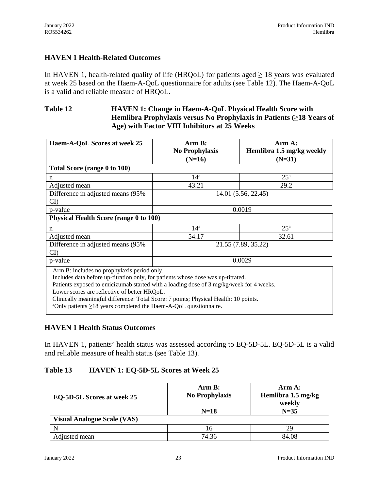## **HAVEN 1 Health-Related Outcomes**

In HAVEN 1, health-related quality of life (HRQoL) for patients aged  $\geq$  18 years was evaluated at week 25 based on the Haem-A-QoL questionnaire for adults (see Table 12). The Haem-A-QoL is a valid and reliable measure of HRQoL.

#### **Table 12 HAVEN 1: Change in Haem-A-QoL Physical Health Score with Hemlibra Prophylaxis versus No Prophylaxis in Patients (**≥**18 Years of Age) with Factor VIII Inhibitors at 25 Weeks**

| Haem-A-QoL Scores at week 25                                                                                                                                                                                                                                                                                                                                                                                                                           | Arm B:<br><b>No Prophylaxis</b> | Arm A:<br>Hemlibra 1.5 mg/kg weekly |  |  |  |
|--------------------------------------------------------------------------------------------------------------------------------------------------------------------------------------------------------------------------------------------------------------------------------------------------------------------------------------------------------------------------------------------------------------------------------------------------------|---------------------------------|-------------------------------------|--|--|--|
|                                                                                                                                                                                                                                                                                                                                                                                                                                                        | $(N=16)$                        | $(N=31)$                            |  |  |  |
| Total Score (range 0 to 100)                                                                                                                                                                                                                                                                                                                                                                                                                           |                                 |                                     |  |  |  |
| n                                                                                                                                                                                                                                                                                                                                                                                                                                                      | $14^a$                          | 25 <sup>a</sup>                     |  |  |  |
| Adjusted mean                                                                                                                                                                                                                                                                                                                                                                                                                                          | 43.21                           | 29.2                                |  |  |  |
| Difference in adjusted means (95%)<br>$\mathbf{C}$ I                                                                                                                                                                                                                                                                                                                                                                                                   | 14.01 (5.56, 22.45)             |                                     |  |  |  |
| p-value                                                                                                                                                                                                                                                                                                                                                                                                                                                | 0.0019                          |                                     |  |  |  |
| Physical Health Score (range 0 to 100)                                                                                                                                                                                                                                                                                                                                                                                                                 |                                 |                                     |  |  |  |
| n                                                                                                                                                                                                                                                                                                                                                                                                                                                      | $14^a$                          | 25 <sup>a</sup>                     |  |  |  |
| Adjusted mean                                                                                                                                                                                                                                                                                                                                                                                                                                          | 54.17                           | 32.61                               |  |  |  |
| Difference in adjusted means (95%)<br>$\mathbf{C}$                                                                                                                                                                                                                                                                                                                                                                                                     | 21.55 (7.89, 35.22)             |                                     |  |  |  |
| p-value                                                                                                                                                                                                                                                                                                                                                                                                                                                |                                 | 0.0029                              |  |  |  |
| Arm B: includes no prophylaxis period only.<br>Includes data before up-titration only, for patients whose dose was up-titrated.<br>Patients exposed to emicizumab started with a loading dose of 3 mg/kg/week for 4 weeks.<br>Lower scores are reflective of better HRQoL.<br>Clinically meaningful difference: Total Score: 7 points; Physical Health: 10 points.<br>$^{\circ}$ Only patients $\geq$ 18 years completed the Haem-A-QoL questionnaire. |                                 |                                     |  |  |  |

### **HAVEN 1 Health Status Outcomes**

In HAVEN 1, patients' health status was assessed according to EQ-5D-5L. EQ-5D-5L is a valid and reliable measure of health status (see Table 13).

### **Table 13 HAVEN 1: EQ-5D-5L Scores at Week 25**

| EQ-5D-5L Scores at week 25         | Arm B:<br><b>No Prophylaxis</b> | Arm A:<br>Hemlibra 1.5 mg/kg<br>weekly |
|------------------------------------|---------------------------------|----------------------------------------|
|                                    | $N=18$                          | $N=35$                                 |
| <b>Visual Analogue Scale (VAS)</b> |                                 |                                        |
|                                    | 16                              | 29                                     |
| Adiusted mean                      | 74.36                           | 84.08                                  |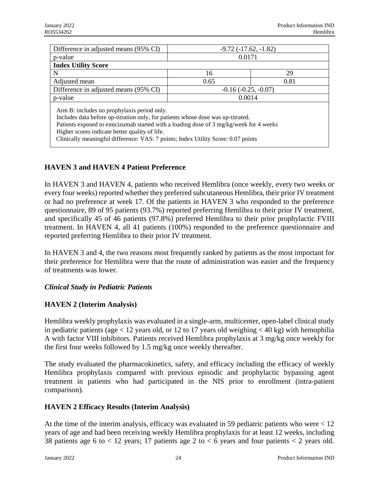| Difference in adjusted means (95% CI)                                                                                                                                                                                                                                                                                                                            | $-9.72(-17.62,-1.82)$ |      |  |  |
|------------------------------------------------------------------------------------------------------------------------------------------------------------------------------------------------------------------------------------------------------------------------------------------------------------------------------------------------------------------|-----------------------|------|--|--|
| p-value                                                                                                                                                                                                                                                                                                                                                          | 0.0171                |      |  |  |
| <b>Index Utility Score</b>                                                                                                                                                                                                                                                                                                                                       |                       |      |  |  |
| N                                                                                                                                                                                                                                                                                                                                                                | 16                    | 29   |  |  |
| Adjusted mean                                                                                                                                                                                                                                                                                                                                                    | 0.65                  | 0.81 |  |  |
| Difference in adjusted means (95% CI)                                                                                                                                                                                                                                                                                                                            | $-0.16(-0.25, -0.07)$ |      |  |  |
| p-value                                                                                                                                                                                                                                                                                                                                                          | 0.0014                |      |  |  |
| Arm B: includes no prophylaxis period only.<br>Includes data before up-titration only, for patients whose dose was up-titrated.<br>Patients exposed to emicizumab started with a loading dose of 3 mg/kg/week for 4 weeks<br>Higher scores indicate better quality of life.<br>Clinically meaningful difference: VAS: 7 points; Index Utility Score: 0.07 points |                       |      |  |  |

## **HAVEN 3 and HAVEN 4 Patient Preference**

In HAVEN 3 and HAVEN 4, patients who received Hemlibra (once weekly, every two weeks or every four weeks) reported whether they preferred subcutaneous Hemlibra, their prior IV treatment or had no preference at week 17. Of the patients in HAVEN 3 who responded to the preference questionnaire, 89 of 95 patients (93.7%) reported preferring Hemlibra to their prior IV treatment, and specifically 45 of 46 patients (97.8%) preferred Hemlibra to their prior prophylactic FVIII treatment. In HAVEN 4, all 41 patients (100%) responded to the preference questionnaire and reported preferring Hemlibra to their prior IV treatment.

In HAVEN 3 and 4, the two reasons most frequently ranked by patients as the most important for their preference for Hemlibra were that the route of administration was easier and the frequency of treatments was lower.

## *Clinical Study in Pediatric Patients*

## **HAVEN 2 (Interim Analysis)**

Hemlibra weekly prophylaxis was evaluated in a single-arm, multicenter, open-label clinical study in pediatric patients (age  $< 12$  years old, or 12 to 17 years old weighing  $< 40$  kg) with hemophilia A with factor VIII inhibitors. Patients received Hemlibra prophylaxis at 3 mg/kg once weekly for the first four weeks followed by 1.5 mg/kg once weekly thereafter.

The study evaluated the pharmacokinetics, safety, and efficacy including the efficacy of weekly Hemlibra prophylaxis compared with previous episodic and prophylactic bypassing agent treatment in patients who had participated in the NIS prior to enrollment (intra-patient comparison).

## **HAVEN 2 Efficacy Results (Interim Analysis)**

At the time of the interim analysis, efficacy was evaluated in 59 pediatric patients who were  $\langle 12 \rangle$ years of age and had been receiving weekly Hemlibra prophylaxis for at least 12 weeks, including 38 patients age 6 to  $< 12$  years; 17 patients age 2 to  $< 6$  years and four patients  $< 2$  years old.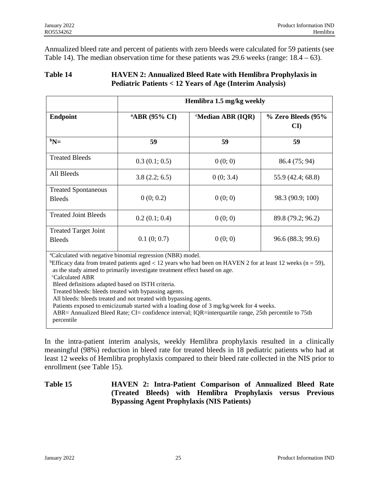Annualized bleed rate and percent of patients with zero bleeds were calculated for 59 patients (see Table 14). The median observation time for these patients was 29.6 weeks (range:  $18.4 - 63$ ).

### **Table 14 HAVEN 2: Annualized Bleed Rate with Hemlibra Prophylaxis in Pediatric Patients < 12 Years of Age (Interim Analysis)**

| <b>Endpoint</b>                                                                                                                                             | Hemlibra 1.5 mg/kg weekly |                         |                                              |  |
|-------------------------------------------------------------------------------------------------------------------------------------------------------------|---------------------------|-------------------------|----------------------------------------------|--|
|                                                                                                                                                             | <sup>a</sup> ABR (95% CI) | <b>Median ABR (IQR)</b> | % Zero Bleeds (95%<br>$\mathbf{C}\mathbf{I}$ |  |
| $bN=$                                                                                                                                                       | 59                        | 59                      | 59                                           |  |
| <b>Treated Bleeds</b>                                                                                                                                       | 0.3(0.1; 0.5)             | 0(0; 0)                 | 86.4 (75; 94)                                |  |
| All Bleeds                                                                                                                                                  | 3.8(2.2; 6.5)             | 0(0; 3.4)               | 55.9 (42.4; 68.8)                            |  |
| <b>Treated Spontaneous</b><br><b>Bleeds</b>                                                                                                                 | 0(0; 0.2)                 | 0(0; 0)                 | 98.3 (90.9; 100)                             |  |
| <b>Treated Joint Bleeds</b>                                                                                                                                 | 0.2(0.1; 0.4)             | 0(0; 0)                 | 89.8 (79.2; 96.2)                            |  |
| <b>Treated Target Joint</b><br><b>Bleeds</b><br>$\partial C_4$ indeed with a continuation in equation $(\mathbf{A} \mathbf{D} \mathbf{D})$ and $\mathbf{A}$ | 0.1(0;0.7)                | 0(0; 0)                 | 96.6 (88.3; 99.6)                            |  |

<sup>a</sup>Calculated with negative binomial regression (NBR) model.

<sup>b</sup>Efficacy data from treated patients aged < 12 years who had been on HAVEN 2 for at least 12 weeks (n = 59), as the study aimed to primarily investigate treatment effect based on age.

<sup>c</sup>Calculated ABR

Bleed definitions adapted based on ISTH criteria.

Treated bleeds: bleeds treated with bypassing agents.

All bleeds: bleeds treated and not treated with bypassing agents.

Patients exposed to emicizumab started with a loading dose of 3 mg/kg/week for 4 weeks.

ABR= Annualized Bleed Rate; CI= confidence interval; IQR=interquartile range, 25th percentile to 75th percentile

In the intra-patient interim analysis, weekly Hemlibra prophylaxis resulted in a clinically meaningful (98%) reduction in bleed rate for treated bleeds in 18 pediatric patients who had at least 12 weeks of Hemlibra prophylaxis compared to their bleed rate collected in the NIS prior to enrollment (see Table 15).

## **Table 15 HAVEN 2: Intra-Patient Comparison of Annualized Bleed Rate (Treated Bleeds) with Hemlibra Prophylaxis versus Previous Bypassing Agent Prophylaxis (NIS Patients)**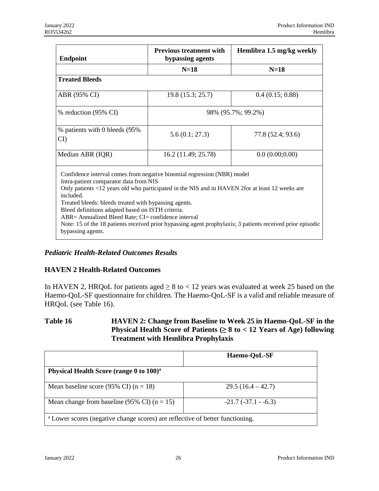| <b>Endpoint</b>                                                                                                                                                                                                                                                                                                                                                                                                             | <b>Previous treatment with</b><br>bypassing agents | Hemlibra 1.5 mg/kg weekly                                                                                  |  |
|-----------------------------------------------------------------------------------------------------------------------------------------------------------------------------------------------------------------------------------------------------------------------------------------------------------------------------------------------------------------------------------------------------------------------------|----------------------------------------------------|------------------------------------------------------------------------------------------------------------|--|
|                                                                                                                                                                                                                                                                                                                                                                                                                             | $N=18$                                             | $N=18$                                                                                                     |  |
| <b>Treated Bleeds</b>                                                                                                                                                                                                                                                                                                                                                                                                       |                                                    |                                                                                                            |  |
| ABR (95% CI)                                                                                                                                                                                                                                                                                                                                                                                                                | 19.8(15.3; 25.7)                                   | 0.4(0.15; 0.88)                                                                                            |  |
| % reduction (95% CI)                                                                                                                                                                                                                                                                                                                                                                                                        | 98% (95.7%; 99.2%)                                 |                                                                                                            |  |
| % patients with 0 bleeds (95%)<br>CI                                                                                                                                                                                                                                                                                                                                                                                        | 5.6(0.1; 27.3)                                     | 77.8 (52.4; 93.6)                                                                                          |  |
| Median ABR (IQR)                                                                                                                                                                                                                                                                                                                                                                                                            | 16.2 (11.49; 25.78)                                | 0.0(0.00;0.00)                                                                                             |  |
| Confidence interval comes from negative binomial regression (NBR) model<br>Intra-patient comparator data from NIS<br>Only patients <12 years old who participated in the NIS and in HAVEN 2for at least 12 weeks are<br>included.<br>Treated bleeds: bleeds treated with bypassing agents.<br>Bleed definitions adapted based on ISTH criteria.<br>ABR= Annualized Bleed Rate; CI= confidence interval<br>bypassing agents. |                                                    | Note: 15 of the 18 patients received prior bypassing agent prophylaxis; 3 patients received prior episodic |  |

## *Pediatric Health-Related Outcomes Results*

## **HAVEN 2 Health-Related Outcomes**

In HAVEN 2, HRQoL for patients aged  $\geq 8$  to < 12 years was evaluated at week 25 based on the Haemo-QoL-SF questionnaire for children. The Haemo-QoL-SF is a valid and reliable measure of HRQoL (see Table 16).

### **Table 16 HAVEN 2: Change from Baseline to Week 25 in Haemo-QoL-SF in the Physical Health Score of Patients (≥ 8 to < 12 Years of Age) following Treatment with Hemlibra Prophylaxis**

|                                                                                          | Haemo-QoL-SF          |  |  |
|------------------------------------------------------------------------------------------|-----------------------|--|--|
| Physical Health Score (range 0 to 100) <sup>a</sup>                                      |                       |  |  |
| Mean baseline score (95% CI) ( $n = 18$ )                                                | $29.5(16.4 - 42.7)$   |  |  |
| Mean change from baseline (95% CI) ( $n = 15$ )                                          | $-21.7(-37.1 - -6.3)$ |  |  |
| <sup>a</sup> Lower scores (negative change scores) are reflective of better functioning. |                       |  |  |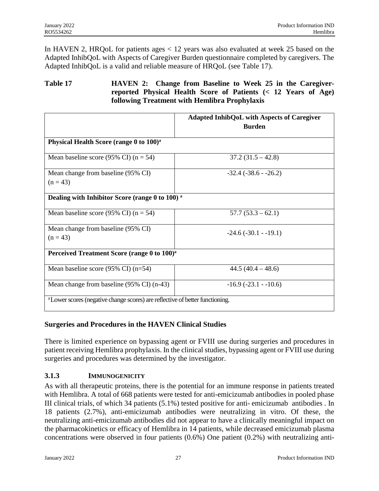In HAVEN 2, HRQoL for patients ages < 12 years was also evaluated at week 25 based on the Adapted InhibQoL with Aspects of Caregiver Burden questionnaire completed by caregivers. The Adapted InhibQoL is a valid and reliable measure of HRQoL (see Table 17).

## **Table 17 HAVEN 2: Change from Baseline to Week 25 in the Caregiverreported Physical Health Score of Patients (< 12 Years of Age) following Treatment with Hemlibra Prophylaxis**

|                                                                                          | <b>Adapted InhibQoL with Aspects of Caregiver</b><br><b>Burden</b> |  |  |
|------------------------------------------------------------------------------------------|--------------------------------------------------------------------|--|--|
| Physical Health Score (range 0 to 100) <sup>a</sup>                                      |                                                                    |  |  |
| Mean baseline score (95% CI) ( $n = 54$ )                                                | $37.2(31.5 - 42.8)$                                                |  |  |
| Mean change from baseline (95% CI)<br>$(n = 43)$                                         | $-32.4$ $(-38.6 - 26.2)$                                           |  |  |
| Dealing with Inhibitor Score (range 0 to 100) <sup>a</sup>                               |                                                                    |  |  |
| Mean baseline score (95% CI) ( $n = 54$ )                                                | $57.7(53.3-62.1)$                                                  |  |  |
| Mean change from baseline (95% CI)<br>$(n = 43)$                                         | $-24.6(-30.1 - -19.1)$                                             |  |  |
| Perceived Treatment Score (range 0 to 100) <sup>a</sup>                                  |                                                                    |  |  |
| Mean baseline score $(95\% \text{ CI})$ (n=54)                                           | $44.5(40.4 - 48.6)$                                                |  |  |
| Mean change from baseline (95% CI) (n-43)                                                | $-16.9$ $(-23.1 - 10.6)$                                           |  |  |
| <sup>a</sup> Lower scores (negative change scores) are reflective of better functioning. |                                                                    |  |  |

### **Surgeries and Procedures in the HAVEN Clinical Studies**

There is limited experience on bypassing agent or FVIII use during surgeries and procedures in patient receiving Hemlibra prophylaxis. In the clinical studies, bypassing agent or FVIII use during surgeries and procedures was determined by the investigator.

## **3.1.3 IMMUNOGENICITY**

As with all therapeutic proteins, there is the potential for an immune response in patients treated with Hemlibra. A total of 668 patients were tested for anti-emicizumab antibodies in pooled phase III clinical trials, of which 34 patients (5.1%) tested positive for anti- emicizumab antibodies . In 18 patients (2.7%), anti-emicizumab antibodies were neutralizing in vitro. Of these, the neutralizing anti-emicizumab antibodies did not appear to have a clinically meaningful impact on the pharmacokinetics or efficacy of Hemlibra in 14 patients, while decreased emicizumab plasma concentrations were observed in four patients  $(0.6%)$  One patient  $(0.2%)$  with neutralizing anti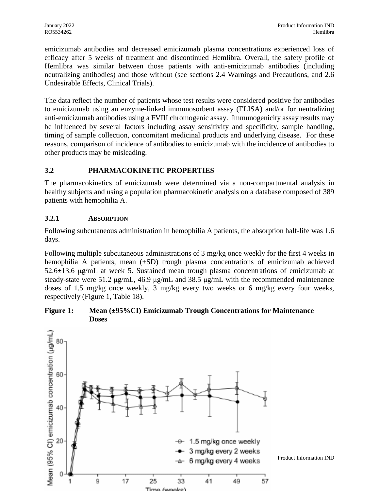emicizumab antibodies and decreased emicizumab plasma concentrations experienced loss of efficacy after 5 weeks of treatment and discontinued Hemlibra. Overall, the safety profile of Hemlibra was similar between those patients with anti-emicizumab antibodies (including neutralizing antibodies) and those without (see sections 2.4 Warnings and Precautions, and 2.6 Undesirable Effects, Clinical Trials).

The data reflect the number of patients whose test results were considered positive for antibodies to emicizumab using an enzyme-linked immunosorbent assay (ELISA) and/or for neutralizing anti-emicizumab antibodies using a FVIII chromogenic assay. Immunogenicity assay results may be influenced by several factors including assay sensitivity and specificity, sample handling, timing of sample collection, concomitant medicinal products and underlying disease. For these reasons, comparison of incidence of antibodies to emicizumab with the incidence of antibodies to other products may be misleading.

## **3.2 PHARMACOKINETIC PROPERTIES**

The pharmacokinetics of emicizumab were determined via a non-compartmental analysis in healthy subjects and using a population pharmacokinetic analysis on a database composed of 389 patients with hemophilia A.

## **3.2.1 ABSORPTION**

Following subcutaneous administration in hemophilia A patients, the absorption half-life was 1.6 days.

Following multiple subcutaneous administrations of 3 mg/kg once weekly for the first 4 weeks in hemophilia A patients, mean (±SD) trough plasma concentrations of emicizumab achieved 52.6±13.6 μg/mL at week 5. Sustained mean trough plasma concentrations of emicizumab at steady-state were 51.2 μg/mL, 46.9 μg/mL and 38.5 μg/mL with the recommended maintenance doses of 1.5 mg/kg once weekly, 3 mg/kg every two weeks or 6 mg/kg every four weeks, respectively (Figure 1, Table 18).

## **Figure 1: Mean (±95%CI) Emicizumab Trough Concentrations for Maintenance Doses**

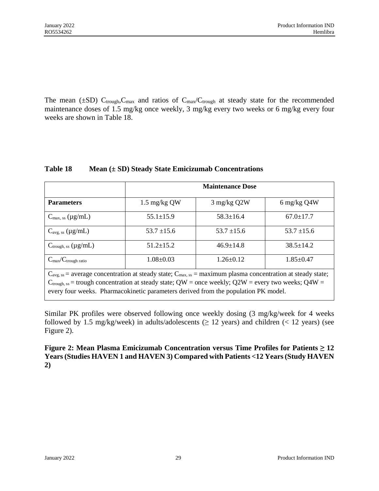The mean ( $\pm SD$ ) C<sub>trough</sub>, C<sub>max</sub> and ratios of C<sub>max</sub>/C<sub>trough</sub> at steady state for the recommended maintenance doses of 1.5 mg/kg once weekly, 3 mg/kg every two weeks or 6 mg/kg every four weeks are shown in Table 18.

| <b>Parameters</b>                        | <b>Maintenance Dose</b>                                                                                                                                                                                                                                                                                                             |                 |                 |
|------------------------------------------|-------------------------------------------------------------------------------------------------------------------------------------------------------------------------------------------------------------------------------------------------------------------------------------------------------------------------------------|-----------------|-----------------|
|                                          | $1.5 \text{ mg/kg }$ QW                                                                                                                                                                                                                                                                                                             | 3 mg/kg Q2W     | 6 mg/kg Q4W     |
| $C_{\text{max, ss}} (\mu g/mL)$          | $55.1 \pm 15.9$                                                                                                                                                                                                                                                                                                                     | $58.3 \pm 16.4$ | $67.0 \pm 17.7$ |
| $C_{\text{avg, ss}} (\mu g/mL)$          | $53.7 \pm 15.6$                                                                                                                                                                                                                                                                                                                     | $53.7 \pm 15.6$ | $53.7 \pm 15.6$ |
| $C_{\text{trough, ss}} (\mu g/mL)$       | $51.2 \pm 15.2$                                                                                                                                                                                                                                                                                                                     | $46.9 \pm 14.8$ | $38.5 \pm 14.2$ |
| $C_{\text{max}}/C_{\text{trough ratio}}$ | $1.08 \pm 0.03$                                                                                                                                                                                                                                                                                                                     | $1.26 \pm 0.12$ | $1.85 \pm 0.47$ |
|                                          | $C_{\text{avg, ss}}$ = average concentration at steady state; $C_{\text{max, ss}}$ = maximum plasma concentration at steady state;<br>$C_{trough, ss}$ = trough concentration at steady state; QW = once weekly; Q2W = every two weeks; Q4W =<br>every four weeks. Pharmacokinetic parameters derived from the population PK model. |                 |                 |

### **Table 18 Mean (± SD) Steady State Emicizumab Concentrations**

Similar PK profiles were observed following once weekly dosing (3 mg/kg/week for 4 weeks followed by 1.5 mg/kg/week) in adults/adolescents ( $\geq$  12 years) and children (< 12 years) (see Figure 2).

**Figure 2: Mean Plasma Emicizumab Concentration versus Time Profiles for Patients ≥ 12 Years (Studies HAVEN 1 and HAVEN 3) Compared with Patients <12 Years (Study HAVEN 2)**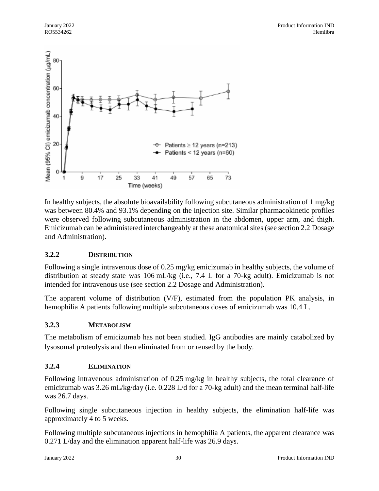

In healthy subjects, the absolute bioavailability following subcutaneous administration of 1 mg/kg was between 80.4% and 93.1% depending on the injection site. Similar pharmacokinetic profiles were observed following subcutaneous administration in the abdomen, upper arm, and thigh. Emicizumab can be administered interchangeably at these anatomical sites (see section 2.2 Dosage and Administration).

## **3.2.2 DISTRIBUTION**

Following a single intravenous dose of 0.25 mg/kg emicizumab in healthy subjects, the volume of distribution at steady state was 106 mL/kg (i.e., 7.4 L for a 70-kg adult). Emicizumab is not intended for intravenous use (see section 2.2 Dosage and Administration).

The apparent volume of distribution (V/F), estimated from the population PK analysis, in hemophilia A patients following multiple subcutaneous doses of emicizumab was 10.4 L.

### **3.2.3 METABOLISM**

The metabolism of emicizumab has not been studied. IgG antibodies are mainly catabolized by lysosomal proteolysis and then eliminated from or reused by the body.

## **3.2.4 ELIMINATION**

Following intravenous administration of 0.25 mg/kg in healthy subjects, the total clearance of emicizumab was 3.26 mL/kg/day (i.e. 0.228 L/d for a 70-kg adult) and the mean terminal half-life was 26.7 days.

Following single subcutaneous injection in healthy subjects, the elimination half-life was approximately 4 to 5 weeks.

Following multiple subcutaneous injections in hemophilia A patients, the apparent clearance was 0.271 L/day and the elimination apparent half-life was 26.9 days.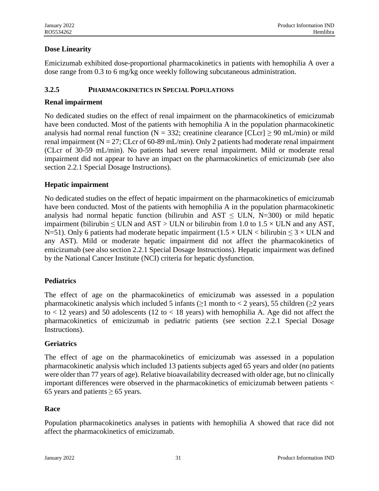## **Dose Linearity**

Emicizumab exhibited dose-proportional pharmacokinetics in patients with hemophilia A over a dose range from 0.3 to 6 mg/kg once weekly following subcutaneous administration.

### **3.2.5 PHARMACOKINETICS IN SPECIAL POPULATIONS**

## **Renal impairment**

No dedicated studies on the effect of renal impairment on the pharmacokinetics of emicizumab have been conducted. Most of the patients with hemophilia A in the population pharmacokinetic analysis had normal renal function (N = 332; creatinine clearance  $|CLcr| \ge 90$  mL/min) or mild renal impairment ( $N = 27$ ; CLcr of 60-89 mL/min). Only 2 patients had moderate renal impairment (CLcr of 30-59 mL/min). No patients had severe renal impairment. Mild or moderate renal impairment did not appear to have an impact on the pharmacokinetics of emicizumab (see also section 2.2.1 Special Dosage Instructions).

## **Hepatic impairment**

No dedicated studies on the effect of hepatic impairment on the pharmacokinetics of emicizumab have been conducted. Most of the patients with hemophilia A in the population pharmacokinetic analysis had normal hepatic function (bilirubin and  $AST \leq ULN$ , N=300) or mild hepatic impairment (bilirubin  $\leq$  ULN and AST > ULN or bilirubin from 1.0 to 1.5  $\times$  ULN and any AST, N=51). Only 6 patients had moderate hepatic impairment (1.5  $\times$  ULN  $<$  bilirubin  $\leq$  3  $\times$  ULN and any AST). Mild or moderate hepatic impairment did not affect the pharmacokinetics of emicizumab (see also section 2.2.1 Special Dosage Instructions). Hepatic impairment was defined by the National Cancer Institute (NCI) criteria for hepatic dysfunction.

### **Pediatrics**

The effect of age on the pharmacokinetics of emicizumab was assessed in a population pharmacokinetic analysis which included 5 infants ( $\geq$ 1 month to < 2 years), 55 children ( $\geq$ 2 years) to  $\langle 12 \rangle$  years) and 50 adolescents (12 to  $\langle 18 \rangle$  years) with hemophilia A. Age did not affect the pharmacokinetics of emicizumab in pediatric patients (see section 2.2.1 Special Dosage Instructions).

### **Geriatrics**

The effect of age on the pharmacokinetics of emicizumab was assessed in a population pharmacokinetic analysis which included 13 patients subjects aged 65 years and older (no patients were older than 77 years of age). Relative bioavailability decreased with older age, but no clinically important differences were observed in the pharmacokinetics of emicizumab between patients < 65 years and patients  $\geq$  65 years.

### **Race**

Population pharmacokinetics analyses in patients with hemophilia A showed that race did not affect the pharmacokinetics of emicizumab.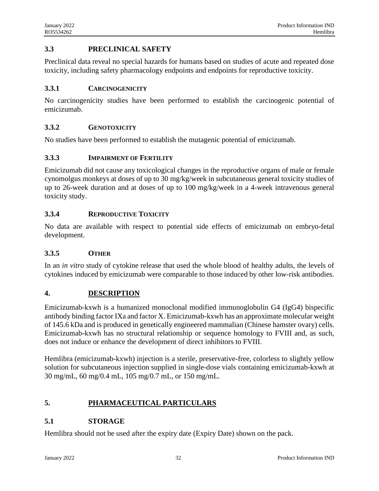## **3.3 PRECLINICAL SAFETY**

Preclinical data reveal no special hazards for humans based on studies of acute and repeated dose toxicity, including safety pharmacology endpoints and endpoints for reproductive toxicity.

## **3.3.1 CARCINOGENICITY**

No carcinogenicity studies have been performed to establish the carcinogenic potential of emicizumab.

## **3.3.2 GENOTOXICITY**

No studies have been performed to establish the mutagenic potential of emicizumab.

### **3.3.3 IMPAIRMENT OF FERTILITY**

Emicizumab did not cause any toxicological changes in the reproductive organs of male or female cynomolgus monkeys at doses of up to 30 mg/kg/week in subcutaneous general toxicity studies of up to 26-week duration and at doses of up to 100 mg/kg/week in a 4-week intravenous general toxicity study.

## **3.3.4 REPRODUCTIVE TOXICITY**

No data are available with respect to potential side effects of emicizumab on embryo-fetal development.

### **3.3.5 OTHER**

In an *in vitro* study of cytokine release that used the whole blood of healthy adults, the levels of cytokines induced by emicizumab were comparable to those induced by other low-risk antibodies.

### **4. DESCRIPTION**

Emicizumab-kxwh is a humanized monoclonal modified immunoglobulin G4 (IgG4) bispecific antibody binding factor IXa and factor X. Emicizumab-kxwh has an approximate molecular weight of 145.6 kDa and is produced in genetically engineered mammalian (Chinese hamster ovary) cells. Emicizumab-kxwh has no structural relationship or sequence homology to FVIII and, as such, does not induce or enhance the development of direct inhibitors to FVIII.

Hemlibra (emicizumab-kxwh) injection is a sterile, preservative-free, colorless to slightly yellow solution for subcutaneous injection supplied in single-dose vials containing emicizumab-kxwh at 30 mg/mL, 60 mg/0.4 mL, 105 mg/0.7 mL, or 150 mg/mL.

## **5. PHARMACEUTICAL PARTICULARS**

### **5.1 STORAGE**

Hemlibra should not be used after the expiry date (Expiry Date) shown on the pack.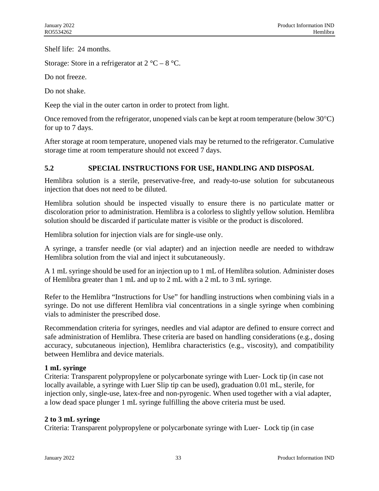Shelf life: 24 months.

Storage: Store in a refrigerator at  $2^{\circ}C - 8^{\circ}C$ .

Do not freeze.

Do not shake.

Keep the vial in the outer carton in order to protect from light.

Once removed from the refrigerator, unopened vials can be kept at room temperature (below  $30^{\circ}$ C) for up to 7 days.

After storage at room temperature, unopened vials may be returned to the refrigerator. Cumulative storage time at room temperature should not exceed 7 days.

## **5.2 SPECIAL INSTRUCTIONS FOR USE, HANDLING AND DISPOSAL**

Hemlibra solution is a sterile, preservative-free, and ready-to-use solution for subcutaneous injection that does not need to be diluted.

Hemlibra solution should be inspected visually to ensure there is no particulate matter or discoloration prior to administration. Hemlibra is a colorless to slightly yellow solution. Hemlibra solution should be discarded if particulate matter is visible or the product is discolored.

Hemlibra solution for injection vials are for single-use only.

A syringe, a transfer needle (or vial adapter) and an injection needle are needed to withdraw Hemlibra solution from the vial and inject it subcutaneously.

A 1 mL syringe should be used for an injection up to 1 mL of Hemlibra solution. Administer doses of Hemlibra greater than 1 mL and up to 2 mL with a 2 mL to 3 mL syringe.

Refer to the Hemlibra "Instructions for Use" for handling instructions when combining vials in a syringe. Do not use different Hemlibra vial concentrations in a single syringe when combining vials to administer the prescribed dose.

Recommendation criteria for syringes, needles and vial adaptor are defined to ensure correct and safe administration of Hemlibra. These criteria are based on handling considerations (e.g., dosing accuracy, subcutaneous injection), Hemlibra characteristics (e.g., viscosity), and compatibility between Hemlibra and device materials.

### **1 mL syringe**

Criteria: Transparent polypropylene or polycarbonate syringe with Luer- Lock tip (in case not locally available, a syringe with Luer Slip tip can be used), graduation 0.01 mL, sterile, for injection only, single-use, latex-free and non-pyrogenic. When used together with a vial adapter, a low dead space plunger 1 mL syringe fulfilling the above criteria must be used.

## **2 to 3 mL syringe**

Criteria: Transparent polypropylene or polycarbonate syringe with Luer- Lock tip (in case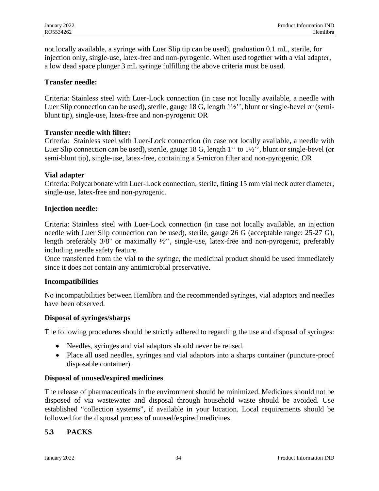not locally available, a syringe with Luer Slip tip can be used), graduation 0.1 mL, sterile, for injection only, single-use, latex-free and non-pyrogenic. When used together with a vial adapter, a low dead space plunger 3 mL syringe fulfilling the above criteria must be used.

### **Transfer needle:**

Criteria: Stainless steel with Luer-Lock connection (in case not locally available, a needle with Luer Slip connection can be used), sterile, gauge 18 G, length 1½'', blunt or single-bevel or (semiblunt tip), single-use, latex-free and non-pyrogenic OR

### **Transfer needle with filter:**

Criteria: Stainless steel with Luer-Lock connection (in case not locally available, a needle with Luer Slip connection can be used), sterile, gauge 18 G, length 1'' to 1½'', blunt or single-bevel (or semi-blunt tip), single-use, latex-free, containing a 5-micron filter and non-pyrogenic, OR

#### **Vial adapter**

Criteria: Polycarbonate with Luer-Lock connection, sterile, fitting 15 mm vial neck outer diameter, single-use, latex-free and non-pyrogenic.

#### **Injection needle:**

Criteria: Stainless steel with Luer-Lock connection (in case not locally available, an injection needle with Luer Slip connection can be used), sterile, gauge 26 G (acceptable range: 25-27 G), length preferably 3/8'' or maximally ½'', single-use, latex-free and non-pyrogenic, preferably including needle safety feature.

Once transferred from the vial to the syringe, the medicinal product should be used immediately since it does not contain any antimicrobial preservative.

### **Incompatibilities**

No incompatibilities between Hemlibra and the recommended syringes, vial adaptors and needles have been observed.

#### **Disposal of syringes/sharps**

The following procedures should be strictly adhered to regarding the use and disposal of syringes:

- Needles, syringes and vial adaptors should never be reused.
- Place all used needles, syringes and vial adaptors into a sharps container (puncture-proof disposable container).

### **Disposal of unused/expired medicines**

The release of pharmaceuticals in the environment should be minimized. Medicines should not be disposed of via wastewater and disposal through household waste should be avoided. Use established "collection systems", if available in your location. Local requirements should be followed for the disposal process of unused/expired medicines.

### **5.3 PACKS**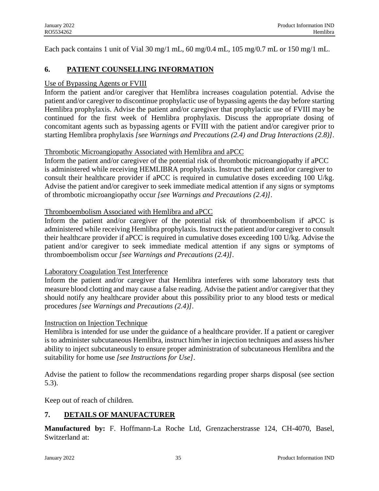Each pack contains 1 unit of Vial 30 mg/1 mL, 60 mg/0.4 mL, 105 mg/0.7 mL or 150 mg/1 mL.

## **6. PATIENT COUNSELLING INFORMATION**

### Use of Bypassing Agents or FVIII

Inform the patient and/or caregiver that Hemlibra increases coagulation potential. Advise the patient and/or caregiver to discontinue prophylactic use of bypassing agents the day before starting Hemlibra prophylaxis. Advise the patient and/or caregiver that prophylactic use of FVIII may be continued for the first week of Hemlibra prophylaxis. Discuss the appropriate dosing of concomitant agents such as bypassing agents or FVIII with the patient and/or caregiver prior to starting Hemlibra prophylaxis *[see Warnings and Precautions (2.4) and Drug Interactions (2.8)]*.

## Thrombotic Microangiopathy Associated with Hemlibra and aPCC

Inform the patient and/or caregiver of the potential risk of thrombotic microangiopathy if aPCC is administered while receiving HEMLIBRA prophylaxis. Instruct the patient and/or caregiver to consult their healthcare provider if aPCC is required in cumulative doses exceeding 100 U/kg. Advise the patient and/or caregiver to seek immediate medical attention if any signs or symptoms of thrombotic microangiopathy occur *[see Warnings and Precautions (2.4)]*.

## Thromboembolism Associated with Hemlibra and aPCC

Inform the patient and/or caregiver of the potential risk of thromboembolism if aPCC is administered while receiving Hemlibra prophylaxis. Instruct the patient and/or caregiver to consult their healthcare provider if aPCC is required in cumulative doses exceeding 100 U/kg. Advise the patient and/or caregiver to seek immediate medical attention if any signs or symptoms of thromboembolism occur *[see Warnings and Precautions (2.4)]*.

### Laboratory Coagulation Test Interference

Inform the patient and/or caregiver that Hemlibra interferes with some laboratory tests that measure blood clotting and may cause a false reading. Advise the patient and/or caregiver that they should notify any healthcare provider about this possibility prior to any blood tests or medical procedures *[see Warnings and Precautions (2.4)]*.

### Instruction on Injection Technique

Hemlibra is intended for use under the guidance of a healthcare provider. If a patient or caregiver is to administer subcutaneous Hemlibra, instruct him/her in injection techniques and assess his/her ability to inject subcutaneously to ensure proper administration of subcutaneous Hemlibra and the suitability for home use *[see Instructions for Use]*.

Advise the patient to follow the recommendations regarding proper sharps disposal (see section 5.3).

Keep out of reach of children.

## **7. DETAILS OF MANUFACTURER**

**Manufactured by:** F. Hoffmann-La Roche Ltd, Grenzacherstrasse 124, CH-4070, Basel, Switzerland at: